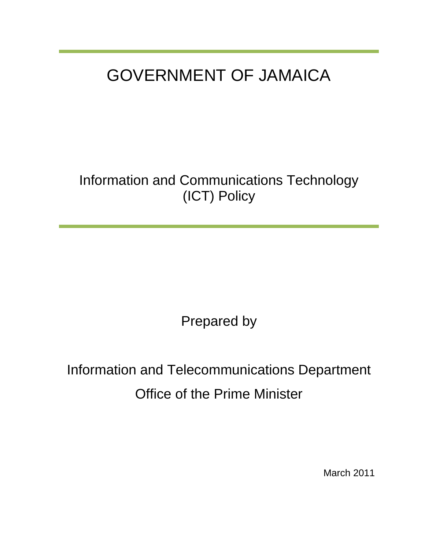# GOVERNMENT OF JAMAICA

Information and Communications Technology (ICT) Policy

Prepared by

Information and Telecommunications Department Office of the Prime Minister

March 2011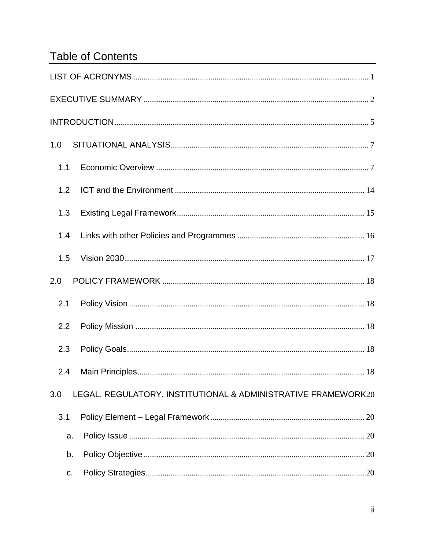# **Table of Contents**

| 1.0 |                                                               |
|-----|---------------------------------------------------------------|
| 1.1 |                                                               |
| 1.2 |                                                               |
| 1.3 |                                                               |
| 1.4 |                                                               |
| 1.5 |                                                               |
| 2.0 |                                                               |
| 2.1 |                                                               |
| 2.2 |                                                               |
| 2.3 |                                                               |
| 2.4 |                                                               |
| 3.0 | LEGAL, REGULATORY, INSTITUTIONAL & ADMINISTRATIVE FRAMEWORK20 |
| 3.1 |                                                               |
| a.  |                                                               |
| b.  |                                                               |
| c.  |                                                               |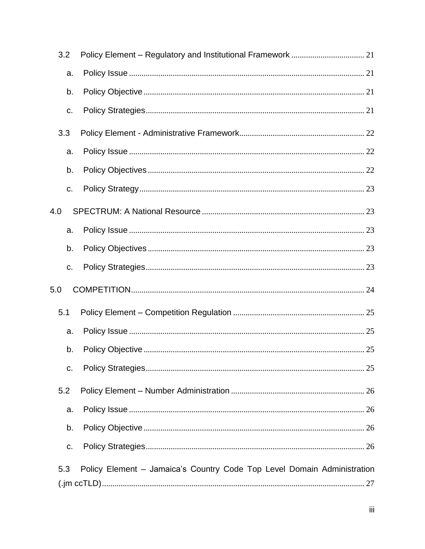| 3.2 |                                                                         |  |
|-----|-------------------------------------------------------------------------|--|
| a.  |                                                                         |  |
| b.  |                                                                         |  |
| C.  |                                                                         |  |
| 3.3 |                                                                         |  |
| a.  |                                                                         |  |
| b.  |                                                                         |  |
| C.  |                                                                         |  |
| 4.0 |                                                                         |  |
| a.  |                                                                         |  |
| b.  |                                                                         |  |
| C.  |                                                                         |  |
| 5.0 |                                                                         |  |
| 5.1 |                                                                         |  |
| a.  |                                                                         |  |
| b.  |                                                                         |  |
| C.  |                                                                         |  |
| 5.2 |                                                                         |  |
| a.  |                                                                         |  |
| b.  |                                                                         |  |
| C.  |                                                                         |  |
| 5.3 | Policy Element - Jamaica's Country Code Top Level Domain Administration |  |
|     |                                                                         |  |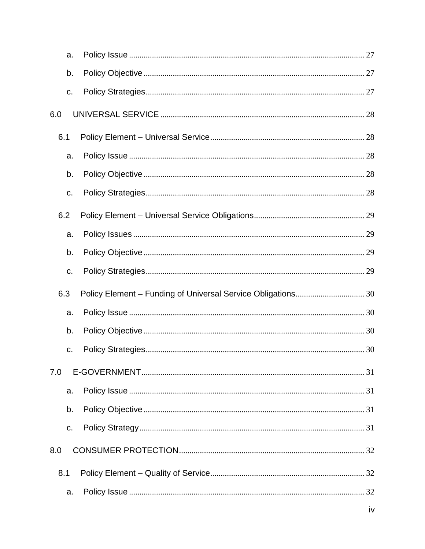|     | a.  |  |
|-----|-----|--|
|     | b.  |  |
|     | C.  |  |
| 6.0 |     |  |
|     | 6.1 |  |
|     | a.  |  |
|     | b.  |  |
|     | c.  |  |
|     | 6.2 |  |
|     | a.  |  |
|     | b.  |  |
|     | C.  |  |
|     | 6.3 |  |
|     | a.  |  |
|     | b.  |  |
|     | C.  |  |
| 7.0 |     |  |
|     | a.  |  |
|     | b.  |  |
|     | C.  |  |
| 8.0 |     |  |
| 8.1 |     |  |
|     | a.  |  |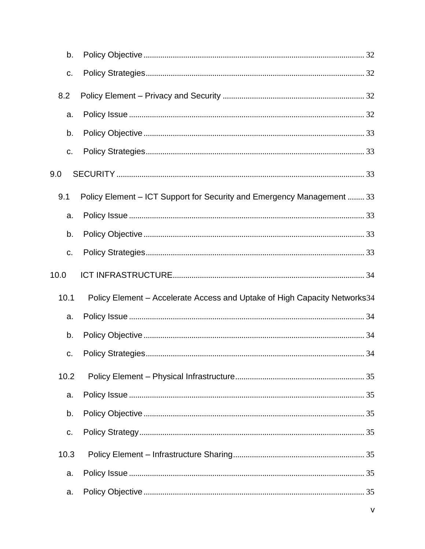| b.   |                                                                           |  |
|------|---------------------------------------------------------------------------|--|
| C.   |                                                                           |  |
| 8.2  |                                                                           |  |
| a.   |                                                                           |  |
| b.   |                                                                           |  |
| c.   |                                                                           |  |
| 9.0  |                                                                           |  |
| 9.1  | Policy Element - ICT Support for Security and Emergency Management  33    |  |
| a.   |                                                                           |  |
| b.   |                                                                           |  |
| C.   |                                                                           |  |
| 10.0 |                                                                           |  |
| 10.1 | Policy Element - Accelerate Access and Uptake of High Capacity Networks34 |  |
| a.   |                                                                           |  |
| b.   |                                                                           |  |
| C.   |                                                                           |  |
| 10.2 |                                                                           |  |
| a.   |                                                                           |  |
| b.   |                                                                           |  |
| C.   |                                                                           |  |
| 10.3 |                                                                           |  |
| a.   |                                                                           |  |
| a.   |                                                                           |  |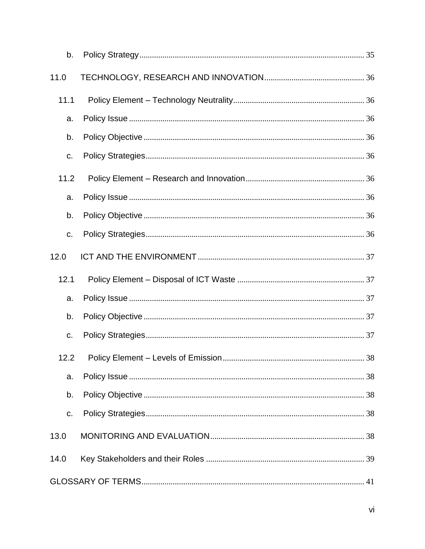| b.   |  |
|------|--|
| 11.0 |  |
| 11.1 |  |
| a.   |  |
| b.   |  |
| C.   |  |
| 11.2 |  |
| a.   |  |
| b.   |  |
| C.   |  |
| 12.0 |  |
| 12.1 |  |
| a.   |  |
| b.   |  |
| C.   |  |
|      |  |
| a.   |  |
| b.   |  |
|      |  |
| C.   |  |
| 13.0 |  |
| 14.0 |  |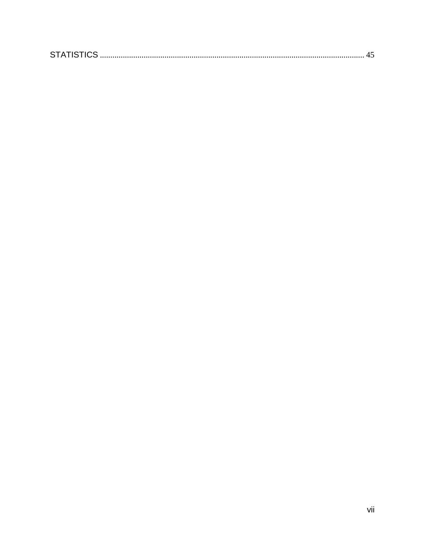|--|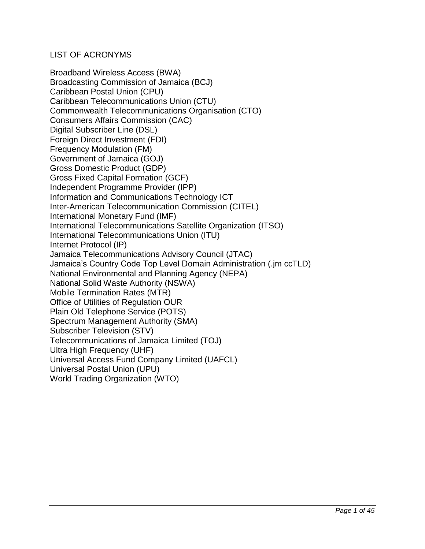#### <span id="page-7-0"></span>LIST OF ACRONYMS

Broadband Wireless Access (BWA) Broadcasting Commission of Jamaica (BCJ) Caribbean Postal Union (CPU) Caribbean Telecommunications Union (CTU) Commonwealth Telecommunications Organisation (CTO) Consumers Affairs Commission (CAC) Digital Subscriber Line (DSL) Foreign Direct Investment (FDI) Frequency Modulation (FM) Government of Jamaica (GOJ) Gross Domestic Product (GDP) Gross Fixed Capital Formation (GCF) Independent Programme Provider (IPP) Information and Communications Technology ICT Inter-American Telecommunication Commission (CITEL) International Monetary Fund (IMF) International Telecommunications Satellite Organization (ITSO) International Telecommunications Union (ITU) Internet Protocol (IP) Jamaica Telecommunications Advisory Council (JTAC) Jamaica's Country Code Top Level Domain Administration (.jm ccTLD) National Environmental and Planning Agency (NEPA) National Solid Waste Authority (NSWA) Mobile Termination Rates (MTR) Office of Utilities of Regulation OUR Plain Old Telephone Service (POTS) Spectrum Management Authority (SMA) Subscriber Television (STV) Telecommunications of Jamaica Limited (TOJ) Ultra High Frequency (UHF) Universal Access Fund Company Limited (UAFCL) Universal Postal Union (UPU) World Trading Organization (WTO)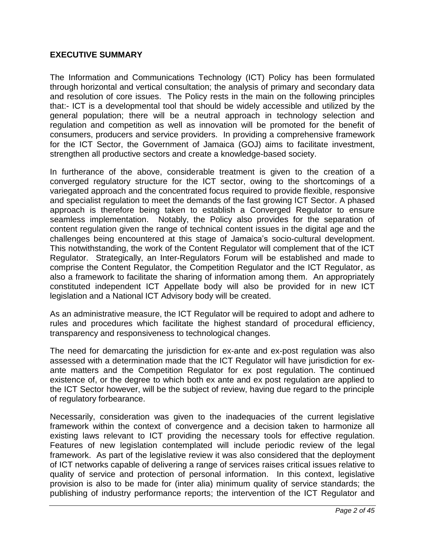#### <span id="page-8-0"></span>**EXECUTIVE SUMMARY**

The Information and Communications Technology (ICT) Policy has been formulated through horizontal and vertical consultation; the analysis of primary and secondary data and resolution of core issues. The Policy rests in the main on the following principles that:- ICT is a developmental tool that should be widely accessible and utilized by the general population; there will be a neutral approach in technology selection and regulation and competition as well as innovation will be promoted for the benefit of consumers, producers and service providers. In providing a comprehensive framework for the ICT Sector, the Government of Jamaica (GOJ) aims to facilitate investment, strengthen all productive sectors and create a knowledge-based society.

In furtherance of the above, considerable treatment is given to the creation of a converged regulatory structure for the ICT sector, owing to the shortcomings of a variegated approach and the concentrated focus required to provide flexible, responsive and specialist regulation to meet the demands of the fast growing ICT Sector. A phased approach is therefore being taken to establish a Converged Regulator to ensure seamless implementation. Notably, the Policy also provides for the separation of content regulation given the range of technical content issues in the digital age and the challenges being encountered at this stage of Jamaica's socio-cultural development. This notwithstanding, the work of the Content Regulator will complement that of the ICT Regulator. Strategically, an Inter-Regulators Forum will be established and made to comprise the Content Regulator, the Competition Regulator and the ICT Regulator, as also a framework to facilitate the sharing of information among them. An appropriately constituted independent ICT Appellate body will also be provided for in new ICT legislation and a National ICT Advisory body will be created.

As an administrative measure, the ICT Regulator will be required to adopt and adhere to rules and procedures which facilitate the highest standard of procedural efficiency, transparency and responsiveness to technological changes.

The need for demarcating the jurisdiction for ex-ante and ex-post regulation was also assessed with a determination made that the ICT Regulator will have jurisdiction for exante matters and the Competition Regulator for ex post regulation. The continued existence of, or the degree to which both ex ante and ex post regulation are applied to the ICT Sector however, will be the subject of review, having due regard to the principle of regulatory forbearance.

Necessarily, consideration was given to the inadequacies of the current legislative framework within the context of convergence and a decision taken to harmonize all existing laws relevant to ICT providing the necessary tools for effective regulation. Features of new legislation contemplated will include periodic review of the legal framework. As part of the legislative review it was also considered that the deployment of ICT networks capable of delivering a range of services raises critical issues relative to quality of service and protection of personal information. In this context, legislative provision is also to be made for (inter alia) minimum quality of service standards; the publishing of industry performance reports; the intervention of the ICT Regulator and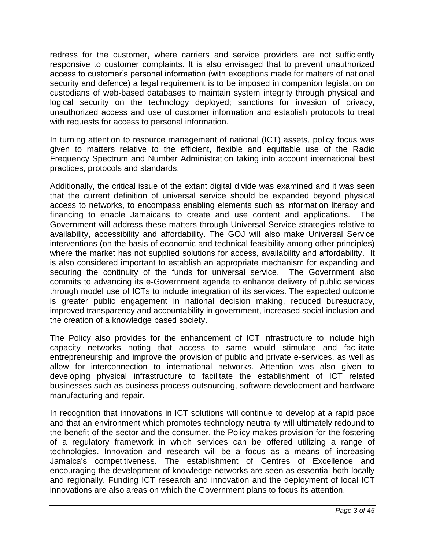redress for the customer, where carriers and service providers are not sufficiently responsive to customer complaints. It is also envisaged that to prevent unauthorized access to customer's personal information (with exceptions made for matters of national security and defence) a legal requirement is to be imposed in companion legislation on custodians of web-based databases to maintain system integrity through physical and logical security on the technology deployed; sanctions for invasion of privacy, unauthorized access and use of customer information and establish protocols to treat with requests for access to personal information.

In turning attention to resource management of national (ICT) assets, policy focus was given to matters relative to the efficient, flexible and equitable use of the Radio Frequency Spectrum and Number Administration taking into account international best practices, protocols and standards.

Additionally, the critical issue of the extant digital divide was examined and it was seen that the current definition of universal service should be expanded beyond physical access to networks, to encompass enabling elements such as information literacy and financing to enable Jamaicans to create and use content and applications. The Government will address these matters through Universal Service strategies relative to availability, accessibility and affordability. The GOJ will also make Universal Service interventions (on the basis of economic and technical feasibility among other principles) where the market has not supplied solutions for access, availability and affordability. It is also considered important to establish an appropriate mechanism for expanding and securing the continuity of the funds for universal service. The Government also commits to advancing its e-Government agenda to enhance delivery of public services through model use of ICTs to include integration of its services. The expected outcome is greater public engagement in national decision making, reduced bureaucracy, improved transparency and accountability in government, increased social inclusion and the creation of a knowledge based society.

The Policy also provides for the enhancement of ICT infrastructure to include high capacity networks noting that access to same would stimulate and facilitate entrepreneurship and improve the provision of public and private e-services, as well as allow for interconnection to international networks. Attention was also given to developing physical infrastructure to facilitate the establishment of ICT related businesses such as business process outsourcing, software development and hardware manufacturing and repair.

In recognition that innovations in ICT solutions will continue to develop at a rapid pace and that an environment which promotes technology neutrality will ultimately redound to the benefit of the sector and the consumer, the Policy makes provision for the fostering of a regulatory framework in which services can be offered utilizing a range of technologies. Innovation and research will be a focus as a means of increasing Jamaica's competitiveness. The establishment of Centres of Excellence and encouraging the development of knowledge networks are seen as essential both locally and regionally. Funding ICT research and innovation and the deployment of local ICT innovations are also areas on which the Government plans to focus its attention.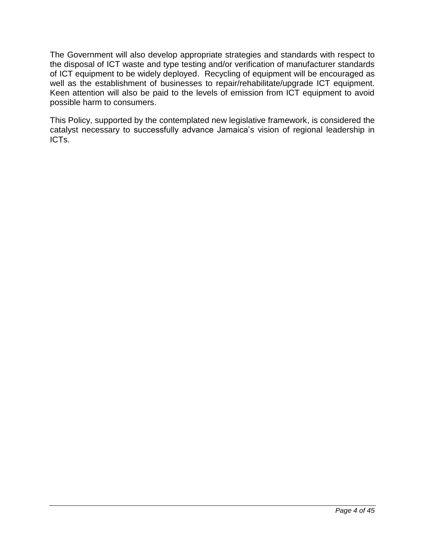The Government will also develop appropriate strategies and standards with respect to the disposal of ICT waste and type testing and/or verification of manufacturer standards of ICT equipment to be widely deployed. Recycling of equipment will be encouraged as well as the establishment of businesses to repair/rehabilitate/upgrade ICT equipment. Keen attention will also be paid to the levels of emission from ICT equipment to avoid possible harm to consumers.

This Policy, supported by the contemplated new legislative framework, is considered the catalyst necessary to successfully advance Jamaica's vision of regional leadership in ICTs.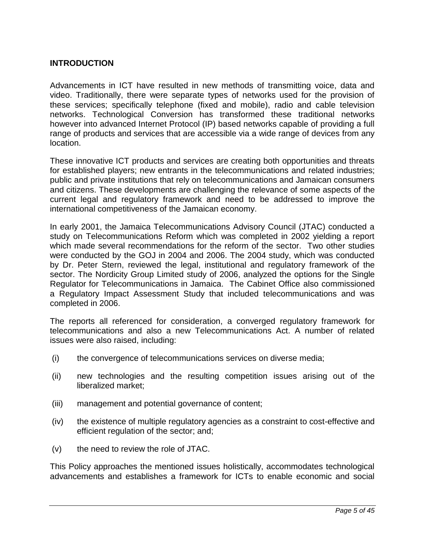#### <span id="page-11-0"></span>**INTRODUCTION**

Advancements in ICT have resulted in new methods of transmitting voice, data and video. Traditionally, there were separate types of networks used for the provision of these services; specifically telephone (fixed and mobile), radio and cable television networks. Technological Conversion has transformed these traditional networks however into advanced Internet Protocol (IP) based networks capable of providing a full range of products and services that are accessible via a wide range of devices from any location.

These innovative ICT products and services are creating both opportunities and threats for established players; new entrants in the telecommunications and related industries; public and private institutions that rely on telecommunications and Jamaican consumers and citizens. These developments are challenging the relevance of some aspects of the current legal and regulatory framework and need to be addressed to improve the international competitiveness of the Jamaican economy.

In early 2001, the Jamaica Telecommunications Advisory Council (JTAC) conducted a study on Telecommunications Reform which was completed in 2002 yielding a report which made several recommendations for the reform of the sector. Two other studies were conducted by the GOJ in 2004 and 2006. The 2004 study, which was conducted by Dr. Peter Stern, reviewed the legal, institutional and regulatory framework of the sector. The Nordicity Group Limited study of 2006, analyzed the options for the Single Regulator for Telecommunications in Jamaica. The Cabinet Office also commissioned a Regulatory Impact Assessment Study that included telecommunications and was completed in 2006.

The reports all referenced for consideration, a converged regulatory framework for telecommunications and also a new Telecommunications Act. A number of related issues were also raised, including:

- (i) the convergence of telecommunications services on diverse media;
- (ii) new technologies and the resulting competition issues arising out of the liberalized market;
- (iii) management and potential governance of content;
- (iv) the existence of multiple regulatory agencies as a constraint to cost-effective and efficient regulation of the sector; and;
- (v) the need to review the role of JTAC.

This Policy approaches the mentioned issues holistically, accommodates technological advancements and establishes a framework for ICTs to enable economic and social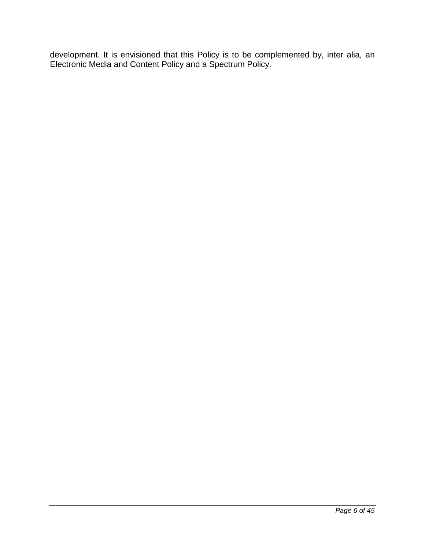development. It is envisioned that this Policy is to be complemented by, inter alia, an Electronic Media and Content Policy and a Spectrum Policy.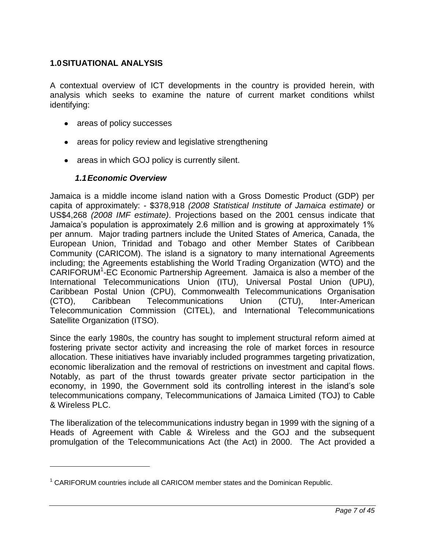#### <span id="page-13-0"></span>**1.0SITUATIONAL ANALYSIS**

A contextual overview of ICT developments in the country is provided herein, with analysis which seeks to examine the nature of current market conditions whilst identifying:

- areas of policy successes
- areas for policy review and legislative strengthening
- areas in which GOJ policy is currently silent.

#### *1.1Economic Overview*

 $\overline{a}$ 

<span id="page-13-1"></span>Jamaica is a middle income island nation with a Gross Domestic Product (GDP) per capita of approximately: - \$378,918 *(2008 Statistical Institute of Jamaica estimate)* or US\$4,268 *(2008 IMF estimate)*. Projections based on the 2001 census indicate that Jamaica's population is approximately 2.6 million and is growing at approximately 1% per annum. Major trading partners include the United States of America, Canada, the European Union, Trinidad and Tobago and other Member States of Caribbean Community (CARICOM). The island is a signatory to many international Agreements including; the Agreements establishing the World Trading Organization (WTO) and the CARIFORUM<sup>1</sup>-EC Economic Partnership Agreement. Jamaica is also a member of the International Telecommunications Union (ITU), Universal Postal Union (UPU), Caribbean Postal Union (CPU), Commonwealth Telecommunications Organisation (CTO), Caribbean Telecommunications Union (CTU), Inter-American Telecommunication Commission (CITEL), and International Telecommunications Satellite Organization (ITSO).

Since the early 1980s, the country has sought to implement structural reform aimed at fostering private sector activity and increasing the role of market forces in resource allocation. These initiatives have invariably included programmes targeting privatization, economic liberalization and the removal of restrictions on investment and capital flows. Notably, as part of the thrust towards greater private sector participation in the economy, in 1990, the Government sold its controlling interest in the island's sole telecommunications company, Telecommunications of Jamaica Limited (TOJ) to Cable & Wireless PLC.

The liberalization of the telecommunications industry began in 1999 with the signing of a Heads of Agreement with Cable & Wireless and the GOJ and the subsequent promulgation of the Telecommunications Act (the Act) in 2000. The Act provided a

 $1$  CARIFORUM countries include all CARICOM member states and the Dominican Republic.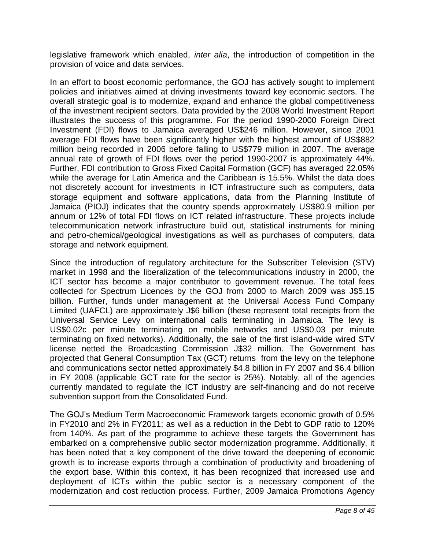legislative framework which enabled, *inter alia*, the introduction of competition in the provision of voice and data services.

In an effort to boost economic performance, the GOJ has actively sought to implement policies and initiatives aimed at driving investments toward key economic sectors. The overall strategic goal is to modernize, expand and enhance the global competitiveness of the investment recipient sectors. Data provided by the 2008 World Investment Report illustrates the success of this programme. For the period 1990-2000 Foreign Direct Investment (FDI) flows to Jamaica averaged US\$246 million. However, since 2001 average FDI flows have been significantly higher with the highest amount of US\$882 million being recorded in 2006 before falling to US\$779 million in 2007. The average annual rate of growth of FDI flows over the period 1990-2007 is approximately 44%. Further, FDI contribution to Gross Fixed Capital Formation (GCF) has averaged 22.05% while the average for Latin America and the Caribbean is 15.5%. Whilst the data does not discretely account for investments in ICT infrastructure such as computers, data storage equipment and software applications, data from the Planning Institute of Jamaica (PIOJ) indicates that the country spends approximately US\$80.9 million per annum or 12% of total FDI flows on ICT related infrastructure. These projects include telecommunication network infrastructure build out, statistical instruments for mining and petro-chemical/geological investigations as well as purchases of computers, data storage and network equipment.

Since the introduction of regulatory architecture for the Subscriber Television (STV) market in 1998 and the liberalization of the telecommunications industry in 2000, the ICT sector has become a major contributor to government revenue. The total fees collected for Spectrum Licences by the GOJ from 2000 to March 2009 was J\$5.15 billion. Further, funds under management at the Universal Access Fund Company Limited (UAFCL) are approximately J\$6 billion (these represent total receipts from the Universal Service Levy on international calls terminating in Jamaica. The levy is US\$0.02c per minute terminating on mobile networks and US\$0.03 per minute terminating on fixed networks). Additionally, the sale of the first island-wide wired STV license netted the Broadcasting Commission J\$32 million. The Government has projected that General Consumption Tax (GCT) returns from the levy on the telephone and communications sector netted approximately \$4.8 billion in FY 2007 and \$6.4 billion in FY 2008 (applicable GCT rate for the sector is 25%). Notably, all of the agencies currently mandated to regulate the ICT industry are self-financing and do not receive subvention support from the Consolidated Fund.

The GOJ's Medium Term Macroeconomic Framework targets economic growth of 0.5% in FY2010 and 2% in FY2011; as well as a reduction in the Debt to GDP ratio to 120% from 140%. As part of the programme to achieve these targets the Government has embarked on a comprehensive public sector modernization programme. Additionally, it has been noted that a key component of the drive toward the deepening of economic growth is to increase exports through a combination of productivity and broadening of the export base. Within this context, it has been recognized that increased use and deployment of ICTs within the public sector is a necessary component of the modernization and cost reduction process. Further, 2009 Jamaica Promotions Agency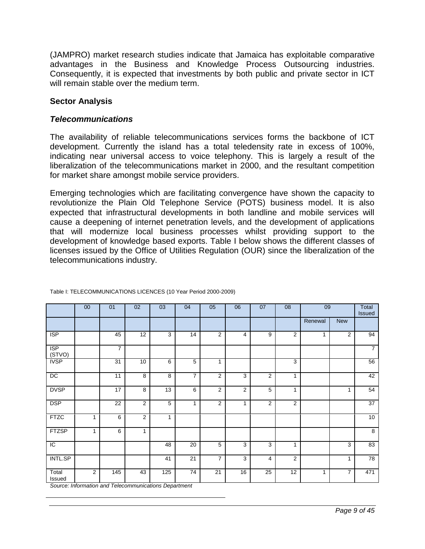(JAMPRO) market research studies indicate that Jamaica has exploitable comparative advantages in the Business and Knowledge Process Outsourcing industries. Consequently, it is expected that investments by both public and private sector in ICT will remain stable over the medium term.

#### **Sector Analysis**

#### *Telecommunications*

The availability of reliable telecommunications services forms the backbone of ICT development. Currently the island has a total teledensity rate in excess of 100%, indicating near universal access to voice telephony. This is largely a result of the liberalization of the telecommunications market in 2000, and the resultant competition for market share amongst mobile service providers.

Emerging technologies which are facilitating convergence have shown the capacity to revolutionize the Plain Old Telephone Service (POTS) business model. It is also expected that infrastructural developments in both landline and mobile services will cause a deepening of internet penetration levels, and the development of applications that will modernize local business processes whilst providing support to the development of knowledge based exports. Table I below shows the different classes of licenses issued by the Office of Utilities Regulation (OUR) since the liberalization of the telecommunications industry.

|                      | $00\,$         | 01             | 02             | 03           | 04             | 05             | 06             | 07             | 08             | 09      |                | Total<br><b>Issued</b> |
|----------------------|----------------|----------------|----------------|--------------|----------------|----------------|----------------|----------------|----------------|---------|----------------|------------------------|
|                      |                |                |                |              |                |                |                |                |                | Renewal | <b>New</b>     |                        |
| <b>ISP</b>           |                | 45             | 12             | 3            | 14             | 2              | $\overline{4}$ | 9              | $\overline{2}$ | 1       | 2              | 94                     |
| <b>ISP</b><br>(STVO) |                | $\overline{7}$ |                |              |                |                |                |                |                |         |                | $\overline{7}$         |
| <b>IVSP</b>          |                | 31             | 10             | 6            | 5              | 1              |                |                | 3              |         |                | 56                     |
| DC                   |                | 11             | 8              | 8            | $\overline{7}$ | 2              | 3              | 2              | $\mathbf{1}$   |         |                | 42                     |
| <b>DVSP</b>          |                | 17             | 8              | 13           | 6              | $\mathbf{2}$   | $\overline{2}$ | 5              | 1              |         | 1              | 54                     |
| <b>DSP</b>           |                | 22             | $\overline{c}$ | 5            | 1              | 2              | $\mathbf{1}$   | $\overline{2}$ | $\overline{2}$ |         |                | 37                     |
| <b>FTZC</b>          | $\mathbf{1}$   | 6              | $\overline{2}$ | $\mathbf{1}$ |                |                |                |                |                |         |                | 10 <sup>°</sup>        |
| <b>FTZSP</b>         | $\mathbf{1}$   | 6              | 1              |              |                |                |                |                |                |         |                | $\overline{8}$         |
| $\overline{C}$       |                |                |                | 48           | 20             | 5              | 3              | 3              | 1              |         | 3              | 83                     |
| <b>INTL.SP</b>       |                |                |                | 41           | 21             | $\overline{7}$ | 3              | $\overline{4}$ | $\overline{2}$ |         | 1              | 78                     |
| Total<br>Issued      | $\overline{2}$ | 145            | 43             | 125          | 74             | 21             | 16             | 25             | 12             | 1       | $\overline{7}$ | 471                    |

#### Table I: TELECOMMUNICATIONS LICENCES (10 Year Period 2000-2009)

*Source: Information and Telecommunications Department*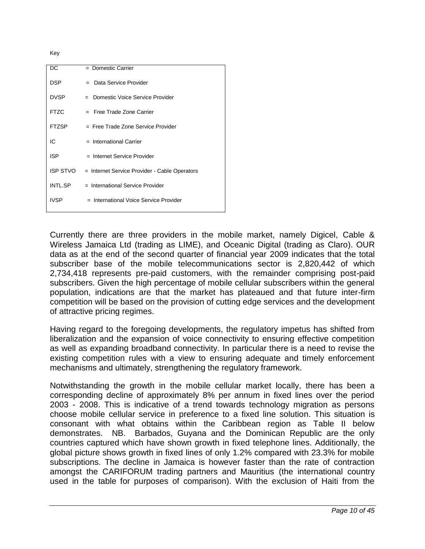Key

| DC              | = Domestic Carrier                            |
|-----------------|-----------------------------------------------|
| <b>DSP</b>      | = Data Service Provider                       |
| <b>DVSP</b>     | Domestic Voice Service Provider<br>$=$        |
| <b>FTZC</b>     | $=$ Free Trade Zone Carrier                   |
| <b>FTZSP</b>    | $=$ Free Trade Zone Service Provider          |
| IC              | $=$ International Carrier                     |
| <b>ISP</b>      | $=$ Internet Service Provider                 |
| <b>ISP STVO</b> | = Internet Service Provider - Cable Operators |
| INTL.SP         | = International Service Provider              |
| <b>IVSP</b>     | = International Voice Service Provider        |

Currently there are three providers in the mobile market, namely Digicel, Cable & Wireless Jamaica Ltd (trading as LIME), and Oceanic Digital (trading as Claro). OUR data as at the end of the second quarter of financial year 2009 indicates that the total subscriber base of the mobile telecommunications sector is 2,820,442 of which 2,734,418 represents pre-paid customers, with the remainder comprising post-paid subscribers. Given the high percentage of mobile cellular subscribers within the general population, indications are that the market has plateaued and that future inter-firm competition will be based on the provision of cutting edge services and the development of attractive pricing regimes.

Having regard to the foregoing developments, the regulatory impetus has shifted from liberalization and the expansion of voice connectivity to ensuring effective competition as well as expanding broadband connectivity. In particular there is a need to revise the existing competition rules with a view to ensuring adequate and timely enforcement mechanisms and ultimately, strengthening the regulatory framework.

Notwithstanding the growth in the mobile cellular market locally, there has been a corresponding decline of approximately 8% per annum in fixed lines over the period 2003 - 2008. This is indicative of a trend towards technology migration as persons choose mobile cellular service in preference to a fixed line solution. This situation is consonant with what obtains within the Caribbean region as Table II below demonstrates. NB. Barbados, Guyana and the Dominican Republic are the only countries captured which have shown growth in fixed telephone lines. Additionally, the global picture shows growth in fixed lines of only 1.2% compared with 23.3% for mobile subscriptions. The decline in Jamaica is however faster than the rate of contraction amongst the CARIFORUM trading partners and Mauritius (the international country used in the table for purposes of comparison). With the exclusion of Haiti from the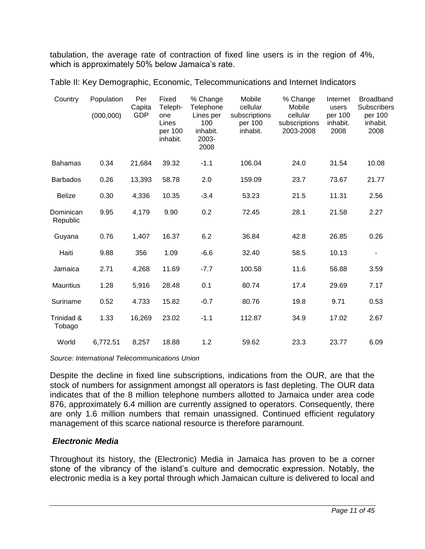tabulation, the average rate of contraction of fixed line users is in the region of 4%, which is approximately 50% below Jamaica's rate.

|  | Table II: Key Demographic, Economic, Telecommunications and Internet Indicators |
|--|---------------------------------------------------------------------------------|
|--|---------------------------------------------------------------------------------|

| Country               | Population<br>(000, 000) | Per<br>Capita<br>GDP | Fixed<br>Teleph-<br>one<br>Lines<br>per 100<br>inhabit. | % Change<br>Telephone<br>Lines per<br>100<br>inhabit.<br>2003-<br>2008 | Mobile<br>cellular<br>subscriptions<br>per 100<br>inhabit. | % Change<br>Mobile<br>cellular<br>subscriptions<br>2003-2008 | Internet<br>users<br>per 100<br>inhabit.<br>2008 | <b>Broadband</b><br><b>Subscribers</b><br>per 100<br>inhabit.<br>2008 |
|-----------------------|--------------------------|----------------------|---------------------------------------------------------|------------------------------------------------------------------------|------------------------------------------------------------|--------------------------------------------------------------|--------------------------------------------------|-----------------------------------------------------------------------|
| <b>Bahamas</b>        | 0.34                     | 21,684               | 39.32                                                   | $-1.1$                                                                 | 106.04                                                     | 24.0                                                         | 31.54                                            | 10.08                                                                 |
| <b>Barbados</b>       | 0.26                     | 13,393               | 58.78                                                   | 2.0                                                                    | 159.09                                                     | 23.7                                                         | 73.67                                            | 21.77                                                                 |
| <b>Belize</b>         | 0.30                     | 4,336                | 10.35                                                   | $-3.4$                                                                 | 53.23                                                      | 21.5                                                         | 11.31                                            | 2.56                                                                  |
| Dominican<br>Republic | 9.95                     | 4,179                | 9.90                                                    | 0.2                                                                    | 72.45                                                      | 28.1                                                         | 21.58                                            | 2.27                                                                  |
| Guyana                | 0.76                     | 1,407                | 16.37                                                   | 6.2                                                                    | 36.84                                                      | 42.8                                                         | 26.85                                            | 0.26                                                                  |
| Haiti                 | 9.88                     | 356                  | 1.09                                                    | $-6.6$                                                                 | 32.40                                                      | 58.5                                                         | 10.13                                            |                                                                       |
| Jamaica               | 2.71                     | 4,268                | 11.69                                                   | $-7.7$                                                                 | 100.58                                                     | 11.6                                                         | 56.88                                            | 3.59                                                                  |
| <b>Mauritius</b>      | 1.28                     | 5,916                | 28.48                                                   | 0.1                                                                    | 80.74                                                      | 17.4                                                         | 29.69                                            | 7.17                                                                  |
| Suriname              | 0.52                     | 4.733                | 15.82                                                   | $-0.7$                                                                 | 80.76                                                      | 19.8                                                         | 9.71                                             | 0.53                                                                  |
| Trinidad &<br>Tobago  | 1.33                     | 16,269               | 23.02                                                   | $-1.1$                                                                 | 112.87                                                     | 34.9                                                         | 17.02                                            | 2.67                                                                  |
| World                 | 6,772.51                 | 8,257                | 18.88                                                   | 1.2                                                                    | 59.62                                                      | 23.3                                                         | 23.77                                            | 6.09                                                                  |

*Source: International Telecommunications Union*

Despite the decline in fixed line subscriptions, indications from the OUR, are that the stock of numbers for assignment amongst all operators is fast depleting. The OUR data indicates that of the 8 million telephone numbers allotted to Jamaica under area code 876, approximately 6.4 million are currently assigned to operators. Consequently, there are only 1.6 million numbers that remain unassigned. Continued efficient regulatory management of this scarce national resource is therefore paramount.

#### *Electronic Media*

Throughout its history, the (Electronic) Media in Jamaica has proven to be a corner stone of the vibrancy of the island's culture and democratic expression. Notably, the electronic media is a key portal through which Jamaican culture is delivered to local and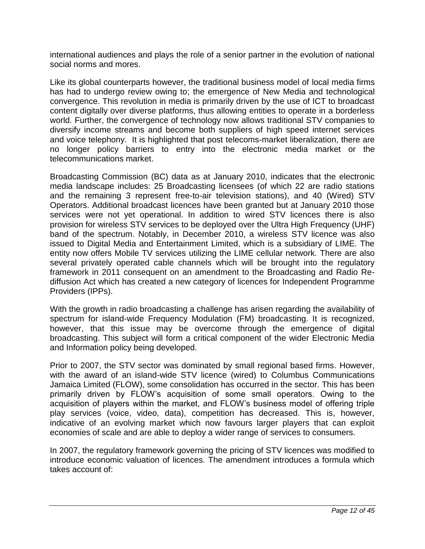international audiences and plays the role of a senior partner in the evolution of national social norms and mores.

Like its global counterparts however, the traditional business model of local media firms has had to undergo review owing to; the emergence of New Media and technological convergence. This revolution in media is primarily driven by the use of ICT to broadcast content digitally over diverse platforms, thus allowing entities to operate in a borderless world. Further, the convergence of technology now allows traditional STV companies to diversify income streams and become both suppliers of high speed internet services and voice telephony. It is highlighted that post telecoms-market liberalization, there are no longer policy barriers to entry into the electronic media market or the telecommunications market.

Broadcasting Commission (BC) data as at January 2010, indicates that the electronic media landscape includes: 25 Broadcasting licensees (of which 22 are radio stations and the remaining 3 represent free-to-air television stations), and 40 (Wired) STV Operators. Additional broadcast licences have been granted but at January 2010 those services were not yet operational. In addition to wired STV licences there is also provision for wireless STV services to be deployed over the Ultra High Frequency (UHF) band of the spectrum. Notably, in December 2010, a wireless STV licence was also issued to Digital Media and Entertainment Limited, which is a subsidiary of LIME. The entity now offers Mobile TV services utilizing the LIME cellular network. There are also several privately operated cable channels which will be brought into the regulatory framework in 2011 consequent on an amendment to the Broadcasting and Radio Rediffusion Act which has created a new category of licences for Independent Programme Providers (IPPs).

With the growth in radio broadcasting a challenge has arisen regarding the availability of spectrum for island-wide Frequency Modulation (FM) broadcasting. It is recognized, however, that this issue may be overcome through the emergence of digital broadcasting. This subject will form a critical component of the wider Electronic Media and Information policy being developed.

Prior to 2007, the STV sector was dominated by small regional based firms. However, with the award of an island-wide STV licence (wired) to Columbus Communications Jamaica Limited (FLOW), some consolidation has occurred in the sector. This has been primarily driven by FLOW's acquisition of some small operators. Owing to the acquisition of players within the market, and FLOW's business model of offering triple play services (voice, video, data), competition has decreased. This is, however, indicative of an evolving market which now favours larger players that can exploit economies of scale and are able to deploy a wider range of services to consumers.

In 2007, the regulatory framework governing the pricing of STV licences was modified to introduce economic valuation of licences. The amendment introduces a formula which takes account of: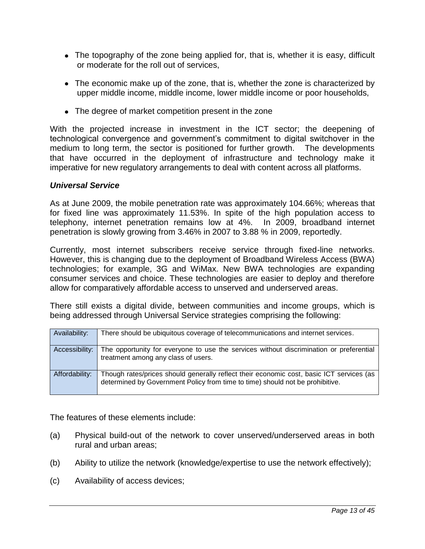- The topography of the zone being applied for, that is, whether it is easy, difficult or moderate for the roll out of services,
- The economic make up of the zone, that is, whether the zone is characterized by upper middle income, middle income, lower middle income or poor households,
- The degree of market competition present in the zone

With the projected increase in investment in the ICT sector; the deepening of technological convergence and government's commitment to digital switchover in the medium to long term, the sector is positioned for further growth. The developments that have occurred in the deployment of infrastructure and technology make it imperative for new regulatory arrangements to deal with content across all platforms.

#### *Universal Service*

As at June 2009, the mobile penetration rate was approximately 104.66%; whereas that for fixed line was approximately 11.53%. In spite of the high population access to telephony, internet penetration remains low at 4%. In 2009, broadband internet penetration is slowly growing from 3.46% in 2007 to 3.88 % in 2009, reportedly.

Currently, most internet subscribers receive service through fixed-line networks. However, this is changing due to the deployment of Broadband Wireless Access (BWA) technologies; for example, 3G and WiMax. New BWA technologies are expanding consumer services and choice. These technologies are easier to deploy and therefore allow for comparatively affordable access to unserved and underserved areas.

There still exists a digital divide, between communities and income groups, which is being addressed through Universal Service strategies comprising the following:

| Availability:  | There should be ubiquitous coverage of telecommunications and internet services.                                                                                          |
|----------------|---------------------------------------------------------------------------------------------------------------------------------------------------------------------------|
| Accessibility: | The opportunity for everyone to use the services without discrimination or preferential<br>treatment among any class of users.                                            |
| Affordability: | Though rates/prices should generally reflect their economic cost, basic ICT services (as<br>determined by Government Policy from time to time) should not be prohibitive. |

The features of these elements include:

- (a) Physical build-out of the network to cover unserved/underserved areas in both rural and urban areas;
- (b) Ability to utilize the network (knowledge/expertise to use the network effectively);
- (c) Availability of access devices;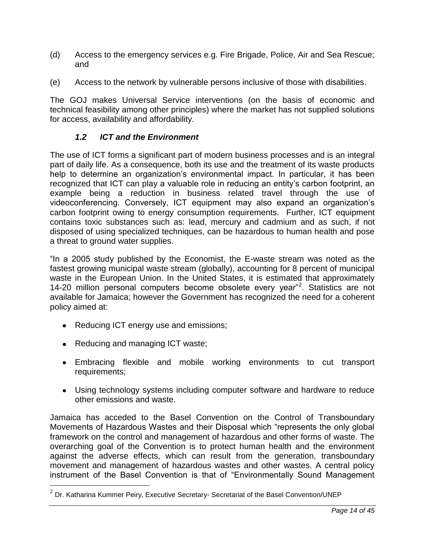- (d) Access to the emergency services e.g. Fire Brigade, Police, Air and Sea Rescue; and
- (e) Access to the network by vulnerable persons inclusive of those with disabilities.

The GOJ makes Universal Service interventions (on the basis of economic and technical feasibility among other principles) where the market has not supplied solutions for access, availability and affordability.

#### <span id="page-20-0"></span>*1.2 ICT and the Environment*

The use of ICT forms a significant part of modern business processes and is an integral part of daily life. As a consequence, both its use and the treatment of its waste products help to determine an organization's environmental impact. In particular, it has been recognized that ICT can play a valuable role in reducing an entity's carbon footprint, an example being a reduction in business related travel through the use of videoconferencing. Conversely, ICT equipment may also expand an organization's carbon footprint owing to energy consumption requirements. Further, ICT equipment contains toxic substances such as: lead, mercury and cadmium and as such, if not disposed of using specialized techniques, can be hazardous to human health and pose a threat to ground water supplies.

"In a 2005 study published by the Economist, the E-waste stream was noted as the fastest growing municipal waste stream (globally), accounting for 8 percent of municipal waste in the European Union. In the United States, it is estimated that approximately 14-20 million personal computers become obsolete every year"<sup>2</sup>. Statistics are not available for Jamaica; however the Government has recognized the need for a coherent policy aimed at:

- Reducing ICT energy use and emissions;
- Reducing and managing ICT waste;

 $\overline{a}$ 

- Embracing flexible and mobile working environments to cut transport requirements;
- Using technology systems including computer software and hardware to reduce other emissions and waste.

Jamaica has acceded to the Basel Convention on the Control of Transboundary Movements of Hazardous Wastes and their Disposal which "represents the only global framework on the control and management of hazardous and other forms of waste. The overarching goal of the Convention is to protect human health and the environment against the adverse effects, which can result from the generation, transboundary movement and management of hazardous wastes and other wastes. A central policy instrument of the Basel Convention is that of "Environmentally Sound Management

 $^2$  Dr. Katharina Kummer Peiry, Executive Secretary- Secretariat of the Basel Convention/UNEP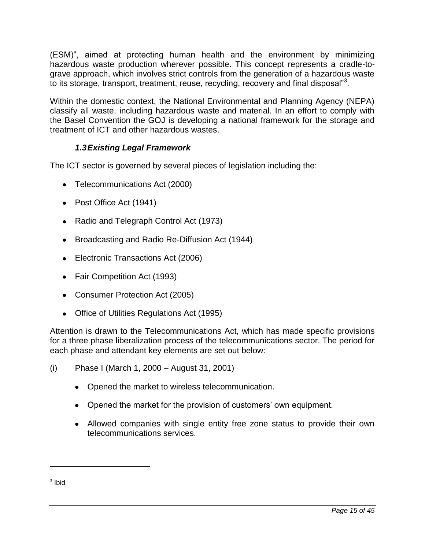(ESM)‖, aimed at protecting human health and the environment by minimizing hazardous waste production wherever possible. This concept represents a cradle-tograve approach, which involves strict controls from the generation of a hazardous waste to its storage, transport, treatment, reuse, recycling, recovery and final disposal"<sup>3</sup>.

Within the domestic context, the National Environmental and Planning Agency (NEPA) classify all waste, including hazardous waste and material. In an effort to comply with the Basel Convention the GOJ is developing a national framework for the storage and treatment of ICT and other hazardous wastes.

#### *1.3Existing Legal Framework*

<span id="page-21-0"></span>The ICT sector is governed by several pieces of legislation including the:

- Telecommunications Act (2000)
- Post Office Act (1941)
- Radio and Telegraph Control Act (1973)
- Broadcasting and Radio Re-Diffusion Act (1944)
- Electronic Transactions Act (2006)
- Fair Competition Act (1993)
- Consumer Protection Act (2005)
- Office of Utilities Regulations Act (1995)

Attention is drawn to the Telecommunications Act, which has made specific provisions for a three phase liberalization process of the telecommunications sector. The period for each phase and attendant key elements are set out below:

- (i) Phase I (March 1, 2000 August 31, 2001)
	- Opened the market to wireless telecommunication.
	- Opened the market for the provision of customers' own equipment.
	- Allowed companies with single entity free zone status to provide their own telecommunications services.

 $\overline{a}$ 

 $3$  lbid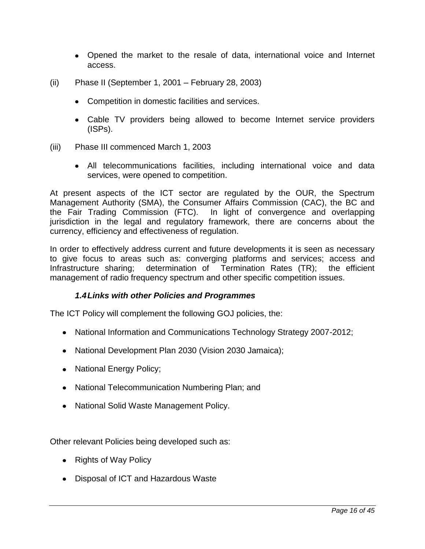- Opened the market to the resale of data, international voice and Internet access.
- (ii) Phase II (September 1, 2001 February 28, 2003)
	- Competition in domestic facilities and services.
	- Cable TV providers being allowed to become Internet service providers (ISPs).
- (iii) Phase III commenced March 1, 2003
	- All telecommunications facilities, including international voice and data services, were opened to competition.

At present aspects of the ICT sector are regulated by the OUR, the Spectrum Management Authority (SMA), the Consumer Affairs Commission (CAC), the BC and the Fair Trading Commission (FTC). In light of convergence and overlapping jurisdiction in the legal and regulatory framework, there are concerns about the currency, efficiency and effectiveness of regulation.

In order to effectively address current and future developments it is seen as necessary to give focus to areas such as: converging platforms and services; access and Infrastructure sharing; determination of Termination Rates (TR); the efficient management of radio frequency spectrum and other specific competition issues.

#### *1.4Links with other Policies and Programmes*

<span id="page-22-0"></span>The ICT Policy will complement the following GOJ policies, the:

- National Information and Communications Technology Strategy 2007-2012;
- National Development Plan 2030 (Vision 2030 Jamaica);
- National Energy Policy;
- National Telecommunication Numbering Plan; and
- National Solid Waste Management Policy.

Other relevant Policies being developed such as:

- Rights of Way Policy
- Disposal of ICT and Hazardous Waste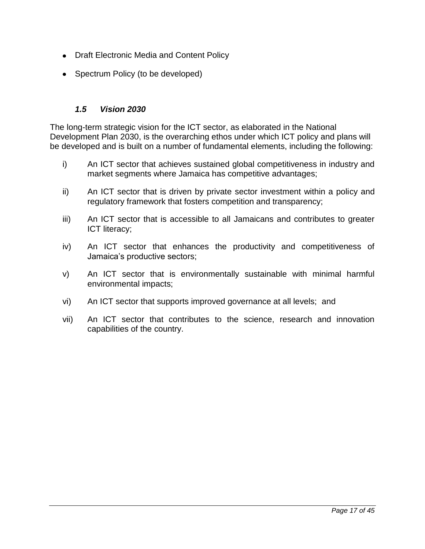- Draft Electronic Media and Content Policy
- Spectrum Policy (to be developed)

#### <span id="page-23-0"></span>*1.5 Vision 2030*

The long-term strategic vision for the ICT sector, as elaborated in the National Development Plan 2030, is the overarching ethos under which ICT policy and plans will be developed and is built on a number of fundamental elements, including the following:

- i) An ICT sector that achieves sustained global competitiveness in industry and market segments where Jamaica has competitive advantages;
- ii) An ICT sector that is driven by private sector investment within a policy and regulatory framework that fosters competition and transparency;
- iii) An ICT sector that is accessible to all Jamaicans and contributes to greater ICT literacy;
- iv) An ICT sector that enhances the productivity and competitiveness of Jamaica's productive sectors;
- v) An ICT sector that is environmentally sustainable with minimal harmful environmental impacts;
- vi) An ICT sector that supports improved governance at all levels; and
- vii) An ICT sector that contributes to the science, research and innovation capabilities of the country.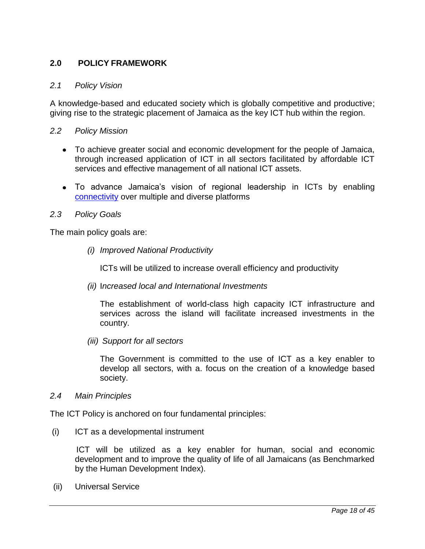#### <span id="page-24-0"></span>**2.0 POLICY FRAMEWORK**

#### <span id="page-24-1"></span>*2.1 Policy Vision*

A knowledge-based and educated society which is globally competitive and productive; giving rise to the strategic placement of Jamaica as the key ICT hub within the region.

#### <span id="page-24-2"></span>*2.2 Policy Mission*

- To achieve greater social and economic development for the people of Jamaica, through increased application of ICT in all sectors facilitated by affordable ICT services and effective management of all national ICT assets.
- To advance Jamaica's vision of regional leadership in ICTs by enabling [connectivity](#page-47-1) over multiple and diverse platforms

#### <span id="page-24-3"></span>*2.3 Policy Goals*

The main policy goals are:

*(i) Improved National Productivity* 

ICTs will be utilized to increase overall efficiency and productivity

*(ii)* I*ncreased local and International Investments*

The establishment of world-class high capacity ICT infrastructure and services across the island will facilitate increased investments in the country.

*(iii) Support for all sectors* 

The Government is committed to the use of ICT as a key enabler to develop all sectors, with a. focus on the creation of a knowledge based society.

#### <span id="page-24-4"></span>*2.4 Main Principles*

The ICT Policy is anchored on four fundamental principles:

(i) ICT as a developmental instrument

 ICT will be utilized as a key enabler for human, social and economic development and to improve the quality of life of all Jamaicans (as Benchmarked by the Human Development Index).

(ii) Universal Service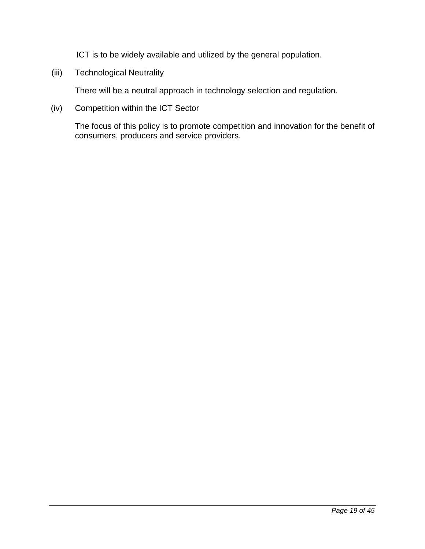ICT is to be widely available and utilized by the general population.

(iii) Technological Neutrality

There will be a neutral approach in technology selection and regulation.

(iv) Competition within the ICT Sector

The focus of this policy is to promote competition and innovation for the benefit of consumers, producers and service providers.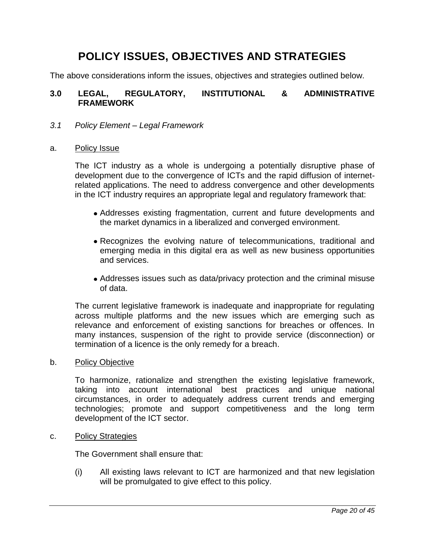# **POLICY ISSUES, OBJECTIVES AND STRATEGIES**

The above considerations inform the issues, objectives and strategies outlined below.

#### <span id="page-26-0"></span>**3.0 LEGAL, REGULATORY, INSTITUTIONAL & ADMINISTRATIVE FRAMEWORK**

#### <span id="page-26-1"></span>*3.1 Policy Element – Legal Framework*

#### <span id="page-26-2"></span>a. Policy Issue

The ICT industry as a whole is undergoing a potentially disruptive phase of development due to the convergence of ICTs and the rapid diffusion of internetrelated applications. The need to address convergence and other developments in the ICT industry requires an appropriate legal and regulatory framework that:

- Addresses existing fragmentation, current and future developments and the market dynamics in a liberalized and converged environment.
- Recognizes the evolving nature of telecommunications, traditional and emerging media in this digital era as well as new business opportunities and services.
- Addresses issues such as data/privacy protection and the criminal misuse of data.

The current legislative framework is inadequate and inappropriate for regulating across multiple platforms and the new issues which are emerging such as relevance and enforcement of existing sanctions for breaches or offences. In many instances, suspension of the right to provide service (disconnection) or termination of a licence is the only remedy for a breach.

#### <span id="page-26-3"></span>b. Policy Objective

To harmonize, rationalize and strengthen the existing legislative framework, taking into account international best practices and unique national circumstances, in order to adequately address current trends and emerging technologies; promote and support competitiveness and the long term development of the ICT sector.

#### <span id="page-26-4"></span>c. Policy Strategies

The Government shall ensure that:

(i) All existing laws relevant to ICT are harmonized and that new legislation will be promulgated to give effect to this policy.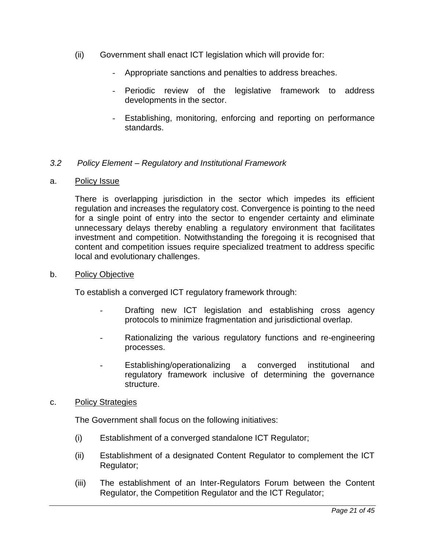- (ii) Government shall enact ICT legislation which will provide for:
	- Appropriate sanctions and penalties to address breaches.
	- Periodic review of the legislative framework to address developments in the sector.
	- Establishing, monitoring, enforcing and reporting on performance standards.

#### <span id="page-27-0"></span>*3.2 Policy Element – Regulatory and Institutional Framework*

#### <span id="page-27-1"></span>a. Policy Issue

There is overlapping jurisdiction in the sector which impedes its efficient regulation and increases the regulatory cost. Convergence is pointing to the need for a single point of entry into the sector to engender certainty and eliminate unnecessary delays thereby enabling a regulatory environment that facilitates investment and competition. Notwithstanding the foregoing it is recognised that content and competition issues require specialized treatment to address specific local and evolutionary challenges.

#### <span id="page-27-2"></span>b. Policy Objective

To establish a converged ICT regulatory framework through:

- Drafting new ICT legislation and establishing cross agency protocols to minimize fragmentation and jurisdictional overlap.
- Rationalizing the various regulatory functions and re-engineering processes.
- Establishing/operationalizing a converged institutional and regulatory framework inclusive of determining the governance structure.

#### <span id="page-27-3"></span>c. Policy Strategies

The Government shall focus on the following initiatives:

- (i) Establishment of a converged standalone ICT Regulator;
- (ii) Establishment of a designated Content Regulator to complement the ICT Regulator;
- (iii) The establishment of an Inter-Regulators Forum between the Content Regulator, the Competition Regulator and the ICT Regulator;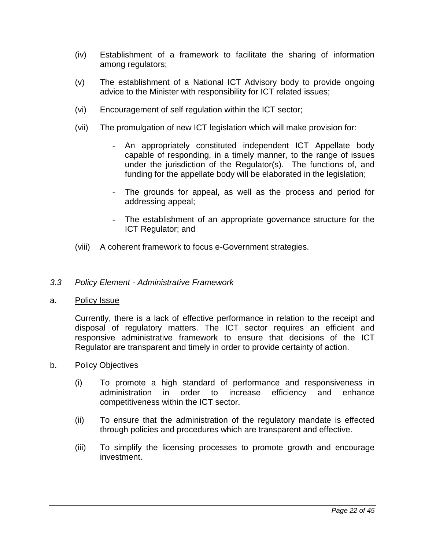- (iv) Establishment of a framework to facilitate the sharing of information among regulators;
- (v) The establishment of a National ICT Advisory body to provide ongoing advice to the Minister with responsibility for ICT related issues;
- (vi) Encouragement of self regulation within the ICT sector;
- (vii) The promulgation of new ICT legislation which will make provision for:
	- An appropriately constituted independent ICT Appellate body capable of responding, in a timely manner, to the range of issues under the jurisdiction of the Regulator(s). The functions of, and funding for the appellate body will be elaborated in the legislation;
	- The grounds for appeal, as well as the process and period for addressing appeal;
	- The establishment of an appropriate governance structure for the ICT Regulator; and
- (viii) A coherent framework to focus e-Government strategies.

#### <span id="page-28-0"></span>*3.3 Policy Element - Administrative Framework*

<span id="page-28-1"></span>a. Policy Issue

Currently, there is a lack of effective performance in relation to the receipt and disposal of regulatory matters. The ICT sector requires an efficient and responsive administrative framework to ensure that decisions of the ICT Regulator are transparent and timely in order to provide certainty of action.

- <span id="page-28-2"></span>b. Policy Objectives
	- (i) To promote a high standard of performance and responsiveness in administration in order to increase efficiency and enhance competitiveness within the ICT sector.
	- (ii) To ensure that the administration of the regulatory mandate is effected through policies and procedures which are transparent and effective.
	- (iii) To simplify the licensing processes to promote growth and encourage investment.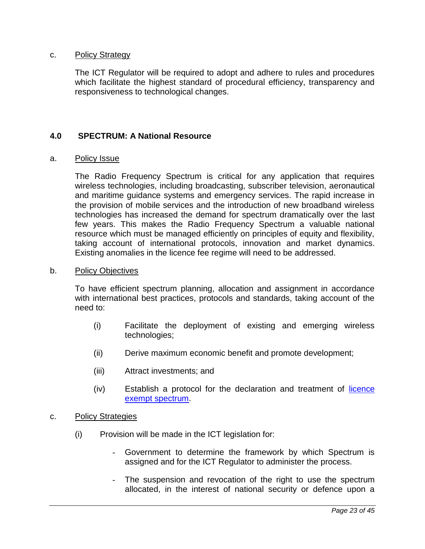#### <span id="page-29-0"></span>c. Policy Strategy

The ICT Regulator will be required to adopt and adhere to rules and procedures which facilitate the highest standard of procedural efficiency, transparency and responsiveness to technological changes.

#### <span id="page-29-1"></span>**4.0 SPECTRUM: A National Resource**

#### <span id="page-29-2"></span>a. Policy Issue

The Radio Frequency Spectrum is critical for any application that requires wireless technologies, including broadcasting, subscriber television, aeronautical and maritime guidance systems and emergency services. The rapid increase in the provision of mobile services and the introduction of new broadband wireless technologies has increased the demand for spectrum dramatically over the last few years. This makes the Radio Frequency Spectrum a valuable national resource which must be managed efficiently on principles of equity and flexibility, taking account of international protocols, innovation and market dynamics. Existing anomalies in the licence fee regime will need to be addressed.

#### <span id="page-29-3"></span>b. Policy Objectives

To have efficient spectrum planning, allocation and assignment in accordance with international best practices, protocols and standards, taking account of the need to:

- (i) Facilitate the deployment of existing and emerging wireless technologies;
- (ii) Derive maximum economic benefit and promote development;
- (iii) Attract investments; and
- (iv) Establish a protocol for the declaration and treatment of [licence](#page-48-0)  [exempt spectrum.](#page-48-0)
- <span id="page-29-4"></span>c. Policy Strategies
	- (i) Provision will be made in the ICT legislation for:
		- Government to determine the framework by which Spectrum is assigned and for the ICT Regulator to administer the process.
		- The suspension and revocation of the right to use the spectrum allocated, in the interest of national security or defence upon a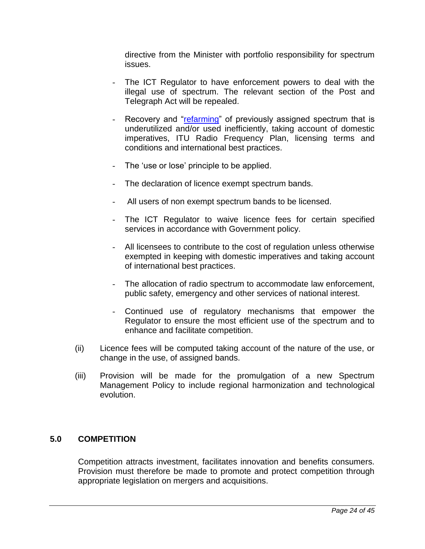directive from the Minister with portfolio responsibility for spectrum issues.

- The ICT Regulator to have enforcement powers to deal with the illegal use of spectrum. The relevant section of the Post and Telegraph Act will be repealed.
- Recovery and "refarming" of previously assigned spectrum that is underutilized and/or used inefficiently, taking account of domestic imperatives, ITU Radio Frequency Plan, licensing terms and conditions and international best practices.
- The 'use or lose' principle to be applied.
- The declaration of licence exempt spectrum bands.
- All users of non exempt spectrum bands to be licensed.
- The ICT Regulator to waive licence fees for certain specified services in accordance with Government policy.
- All licensees to contribute to the cost of regulation unless otherwise exempted in keeping with domestic imperatives and taking account of international best practices.
- The allocation of radio spectrum to accommodate law enforcement, public safety, emergency and other services of national interest.
- Continued use of regulatory mechanisms that empower the Regulator to ensure the most efficient use of the spectrum and to enhance and facilitate competition.
- (ii) Licence fees will be computed taking account of the nature of the use, or change in the use, of assigned bands.
- (iii) Provision will be made for the promulgation of a new Spectrum Management Policy to include regional harmonization and technological evolution.

#### <span id="page-30-0"></span>**5.0 COMPETITION**

Competition attracts investment, facilitates innovation and benefits consumers. Provision must therefore be made to promote and protect competition through appropriate legislation on mergers and acquisitions.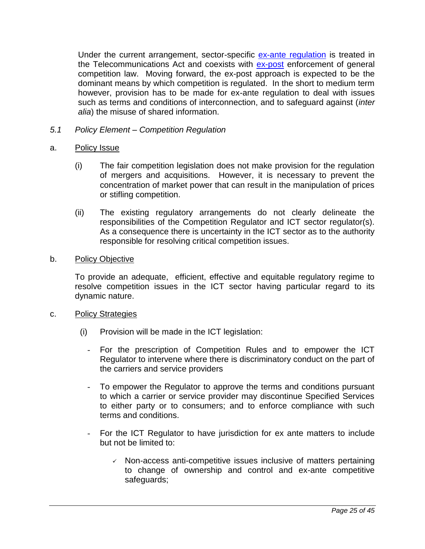Under the current arrangement, sector-specific [ex-ante regulation](#page-47-2) is treated in the Telecommunications Act and coexists with **ex-post** enforcement of general competition law. Moving forward, the ex-post approach is expected to be the dominant means by which competition is regulated. In the short to medium term however, provision has to be made for ex-ante regulation to deal with issues such as terms and conditions of interconnection, and to safeguard against (*inter alia*) the misuse of shared information.

- <span id="page-31-0"></span>*5.1 Policy Element – Competition Regulation*
- <span id="page-31-1"></span>a. Policy Issue
	- (i) The fair competition legislation does not make provision for the regulation of mergers and acquisitions. However, it is necessary to prevent the concentration of market power that can result in the manipulation of prices or stifling competition.
	- (ii) The existing regulatory arrangements do not clearly delineate the responsibilities of the Competition Regulator and ICT sector regulator(s). As a consequence there is uncertainty in the ICT sector as to the authority responsible for resolving critical competition issues.
- <span id="page-31-2"></span>b. Policy Objective

To provide an adequate, efficient, effective and equitable regulatory regime to resolve competition issues in the ICT sector having particular regard to its dynamic nature.

- <span id="page-31-3"></span>c. Policy Strategies
	- (i) Provision will be made in the ICT legislation:
		- For the prescription of Competition Rules and to empower the ICT Regulator to intervene where there is discriminatory conduct on the part of the carriers and service providers
		- To empower the Regulator to approve the terms and conditions pursuant to which a carrier or service provider may discontinue Specified Services to either party or to consumers; and to enforce compliance with such terms and conditions.
		- For the ICT Regulator to have jurisdiction for ex ante matters to include but not be limited to:
			- $\checkmark$  Non-access anti-competitive issues inclusive of matters pertaining to change of ownership and control and ex-ante competitive safeguards;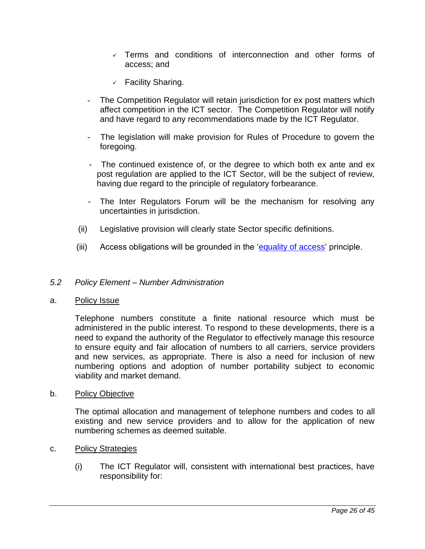- $\checkmark$  Terms and conditions of interconnection and other forms of access; and
- $\checkmark$  Facility Sharing.
- The Competition Regulator will retain jurisdiction for ex post matters which affect competition in the ICT sector. The Competition Regulator will notify and have regard to any recommendations made by the ICT Regulator.
- The legislation will make provision for Rules of Procedure to govern the foregoing.
- The continued existence of, or the degree to which both ex ante and ex post regulation are applied to the ICT Sector, will be the subject of review, having due regard to the principle of regulatory forbearance.
- The Inter Regulators Forum will be the mechanism for resolving any uncertainties in jurisdiction.
- (ii) Legislative provision will clearly state Sector specific definitions.
- (iii) Access obligations will be grounded in the 'equality of access' principle.

#### <span id="page-32-0"></span>*5.2 Policy Element – Number Administration*

#### <span id="page-32-1"></span>a. Policy Issue

Telephone numbers constitute a finite national resource which must be administered in the public interest. To respond to these developments, there is a need to expand the authority of the Regulator to effectively manage this resource to ensure equity and fair allocation of numbers to all carriers, service providers and new services, as appropriate. There is also a need for inclusion of new numbering options and adoption of number portability subject to economic viability and market demand.

<span id="page-32-2"></span>b. Policy Objective

The optimal allocation and management of telephone numbers and codes to all existing and new service providers and to allow for the application of new numbering schemes as deemed suitable.

- <span id="page-32-3"></span>c. Policy Strategies
	- (i) The ICT Regulator will, consistent with international best practices, have responsibility for: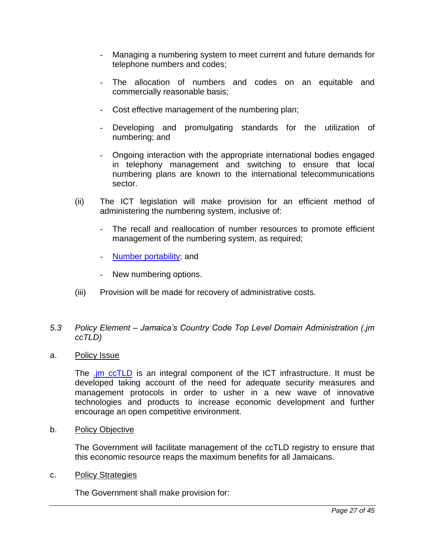- Managing a numbering system to meet current and future demands for telephone numbers and codes;
- The allocation of numbers and codes on an equitable and commercially reasonable basis;
- Cost effective management of the numbering plan;
- Developing and promulgating standards for the utilization of numbering; and
- Ongoing interaction with the appropriate international bodies engaged in telephony management and switching to ensure that local numbering plans are known to the international telecommunications sector.
- (ii) The ICT legislation will make provision for an efficient method of administering the numbering system, inclusive of:
	- The recall and reallocation of number resources to promote efficient management of the numbering system, as required;
	- [Number portability;](#page-33-4) and
	- New numbering options.
- <span id="page-33-4"></span>(iii) Provision will be made for recovery of administrative costs.

#### <span id="page-33-0"></span>*5.3 Policy Element – Jamaica's Country Code Top Level Domain Administration (.jm ccTLD)*

<span id="page-33-1"></span>a. Policy Issue

The *im ccTLD* is an integral component of the ICT infrastructure. It must be developed taking account of the need for adequate security measures and management protocols in order to usher in a new wave of innovative technologies and products to increase economic development and further encourage an open competitive environment.

<span id="page-33-2"></span>b. Policy Objective

The Government will facilitate management of the ccTLD registry to ensure that this economic resource reaps the maximum benefits for all Jamaicans.

<span id="page-33-3"></span>c. Policy Strategies

The Government shall make provision for: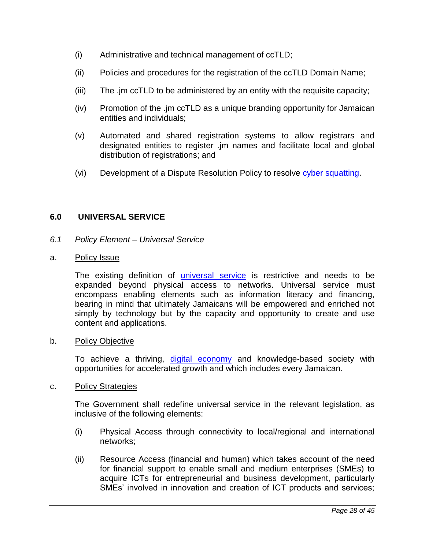- (i) Administrative and technical management of ccTLD;
- (ii) Policies and procedures for the registration of the ccTLD Domain Name;
- (iii) The .jm ccTLD to be administered by an entity with the requisite capacity;
- (iv) Promotion of the .jm ccTLD as a unique branding opportunity for Jamaican entities and individuals;
- (v) Automated and shared registration systems to allow registrars and designated entities to register .jm names and facilitate local and global distribution of registrations; and
- (vi) Development of a Dispute Resolution Policy to resolve [cyber squatting.](#page-47-5)

#### <span id="page-34-0"></span>**6.0 UNIVERSAL SERVICE**

<span id="page-34-1"></span>*6.1 Policy Element – Universal Service*

#### <span id="page-34-2"></span>a. Policy Issue

The existing definition of [universal service](#page-49-1) is restrictive and needs to be expanded beyond physical access to networks. Universal service must encompass enabling elements such as information literacy and financing, bearing in mind that ultimately Jamaicans will be empowered and enriched not simply by technology but by the capacity and opportunity to create and use content and applications.

#### <span id="page-34-3"></span>b. Policy Objective

To achieve a thriving, [digital economy](#page-47-6) and knowledge-based society with opportunities for accelerated growth and which includes every Jamaican.

#### <span id="page-34-4"></span>c. Policy Strategies

The Government shall redefine universal service in the relevant legislation, as inclusive of the following elements:

- (i) Physical Access through connectivity to local/regional and international networks;
- (ii) Resource Access (financial and human) which takes account of the need for financial support to enable small and medium enterprises (SMEs) to acquire ICTs for entrepreneurial and business development, particularly SMEs' involved in innovation and creation of ICT products and services;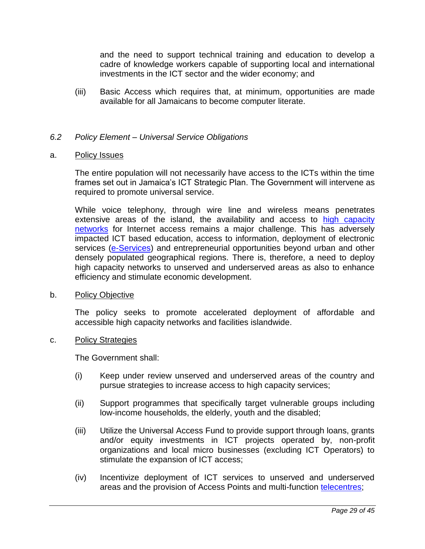and the need to support technical training and education to develop a cadre of knowledge workers capable of supporting local and international investments in the ICT sector and the wider economy; and

(iii) Basic Access which requires that, at minimum, opportunities are made available for all Jamaicans to become computer literate.

#### <span id="page-35-0"></span>*6.2 Policy Element – Universal Service Obligations*

#### <span id="page-35-1"></span>a. Policy Issues

The entire population will not necessarily have access to the ICTs within the time frames set out in Jamaica's ICT Strategic Plan. The Government will intervene as required to promote universal service.

While voice telephony, through wire line and wireless means penetrates extensive areas of the island, the availability and access to high capacity [networks](#page-48-2) for Internet access remains a major challenge. This has adversely impacted ICT based education, access to information, deployment of electronic services [\(e-Services\)](#page-47-7) and entrepreneurial opportunities beyond urban and other densely populated geographical regions. There is, therefore, a need to deploy high capacity networks to unserved and underserved areas as also to enhance efficiency and stimulate economic development.

#### <span id="page-35-2"></span>b. Policy Objective

The policy seeks to promote accelerated deployment of affordable and accessible high capacity networks and facilities islandwide.

#### <span id="page-35-3"></span>c. Policy Strategies

The Government shall:

- (i) Keep under review unserved and underserved areas of the country and pursue strategies to increase access to high capacity services;
- (ii) Support programmes that specifically target vulnerable groups including low-income households, the elderly, youth and the disabled;
- (iii) Utilize the Universal Access Fund to provide support through loans, grants and/or equity investments in ICT projects operated by, non-profit organizations and local micro businesses (excluding ICT Operators) to stimulate the expansion of ICT access;
- (iv) Incentivize deployment of ICT services to unserved and underserved areas and the provision of Access Points and multi-function [telecentres;](#page-49-2)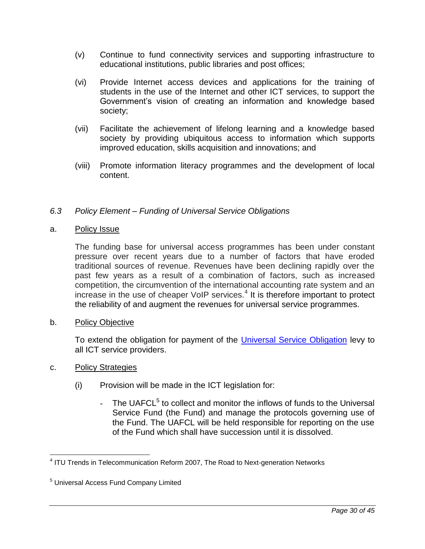- (v) Continue to fund connectivity services and supporting infrastructure to educational institutions, public libraries and post offices;
- (vi) Provide Internet access devices and applications for the training of students in the use of the Internet and other ICT services, to support the Government's vision of creating an information and knowledge based society;
- (vii) Facilitate the achievement of lifelong learning and a knowledge based society by providing ubiquitous access to information which supports improved education, skills acquisition and innovations; and
- (viii) Promote information literacy programmes and the development of local content.

#### <span id="page-36-0"></span>*6.3 Policy Element – Funding of Universal Service Obligations*

#### <span id="page-36-1"></span>a. Policy Issue

The funding base for universal access programmes has been under constant pressure over recent years due to a number of factors that have eroded traditional sources of revenue. Revenues have been declining rapidly over the past few years as a result of a combination of factors, such as increased competition, the circumvention of the international accounting rate system and an increase in the use of cheaper VoIP services.<sup>4</sup> It is therefore important to protect the reliability of and augment the revenues for universal service programmes.

#### <span id="page-36-2"></span>b. Policy Objective

To extend the obligation for payment of the [Universal Service Obligation](#page-49-3) levy to all ICT service providers.

#### <span id="page-36-3"></span>c. Policy Strategies

 $\overline{a}$ 

- (i) Provision will be made in the ICT legislation for:
	- The UAFCL $5$  to collect and monitor the inflows of funds to the Universal Service Fund (the Fund) and manage the protocols governing use of the Fund. The UAFCL will be held responsible for reporting on the use of the Fund which shall have succession until it is dissolved.

<sup>&</sup>lt;sup>4</sup> ITU Trends in Telecommunication Reform 2007, The Road to Next-generation Networks

<sup>5</sup> Universal Access Fund Company Limited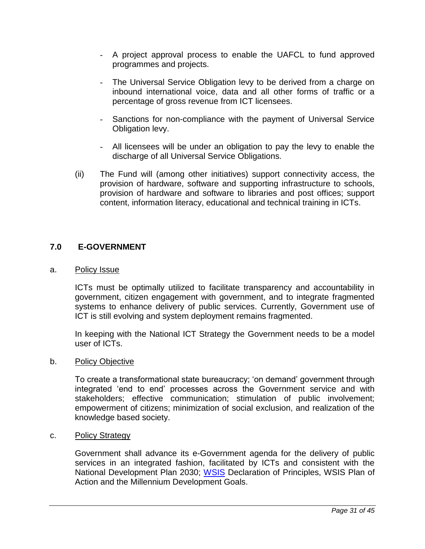- A project approval process to enable the UAFCL to fund approved programmes and projects.
- The Universal Service Obligation levy to be derived from a charge on inbound international voice, data and all other forms of traffic or a percentage of gross revenue from ICT licensees.
- Sanctions for non-compliance with the payment of Universal Service Obligation levy.
- All licensees will be under an obligation to pay the levy to enable the discharge of all Universal Service Obligations.
- (ii) The Fund will (among other initiatives) support connectivity access, the provision of hardware, software and supporting infrastructure to schools, provision of hardware and software to libraries and post offices; support content, information literacy, educational and technical training in ICTs.

#### <span id="page-37-0"></span>**7.0 E-GOVERNMENT**

#### <span id="page-37-1"></span>a. Policy Issue

ICTs must be optimally utilized to facilitate transparency and accountability in government, citizen engagement with government, and to integrate fragmented systems to enhance delivery of public services. Currently, Government use of ICT is still evolving and system deployment remains fragmented.

In keeping with the National ICT Strategy the Government needs to be a model user of ICTs.

#### <span id="page-37-2"></span>b. Policy Objective

To create a transformational state bureaucracy; 'on demand' government through integrated 'end to end' processes across the Government service and with stakeholders; effective communication; stimulation of public involvement; empowerment of citizens; minimization of social exclusion, and realization of the knowledge based society.

#### <span id="page-37-3"></span>c. Policy Strategy

Government shall advance its e-Government agenda for the delivery of public services in an integrated fashion, facilitated by ICTs and consistent with the National Development Plan 2030; [WSIS](#page-49-4) Declaration of Principles, WSIS Plan of Action and the Millennium Development Goals.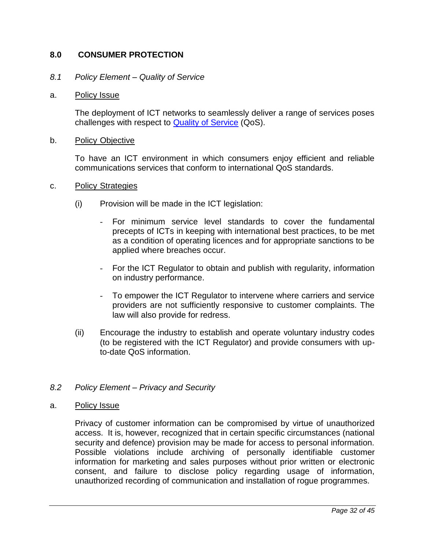#### <span id="page-38-0"></span>**8.0 CONSUMER PROTECTION**

#### <span id="page-38-1"></span>*8.1 Policy Element – Quality of Service*

#### <span id="page-38-2"></span>a. Policy Issue

The deployment of ICT networks to seamlessly deliver a range of services poses challenges with respect to [Quality of Service](#page-49-5) (QoS).

#### <span id="page-38-3"></span>b. Policy Objective

To have an ICT environment in which consumers enjoy efficient and reliable communications services that conform to international QoS standards.

#### <span id="page-38-4"></span>c. Policy Strategies

- (i) Provision will be made in the ICT legislation:
	- For minimum service level standards to cover the fundamental precepts of ICTs in keeping with international best practices, to be met as a condition of operating licences and for appropriate sanctions to be applied where breaches occur.
	- For the ICT Regulator to obtain and publish with regularity, information on industry performance.
	- To empower the ICT Regulator to intervene where carriers and service providers are not sufficiently responsive to customer complaints. The law will also provide for redress.
- (ii) Encourage the industry to establish and operate voluntary industry codes (to be registered with the ICT Regulator) and provide consumers with upto-date QoS information.

#### <span id="page-38-5"></span>*8.2 Policy Element – Privacy and Security*

<span id="page-38-6"></span>a. Policy Issue

Privacy of customer information can be compromised by virtue of unauthorized access. It is, however, recognized that in certain specific circumstances (national security and defence) provision may be made for access to personal information. Possible violations include archiving of personally identifiable customer information for marketing and sales purposes without prior written or electronic consent, and failure to disclose policy regarding usage of information, unauthorized recording of communication and installation of rogue programmes.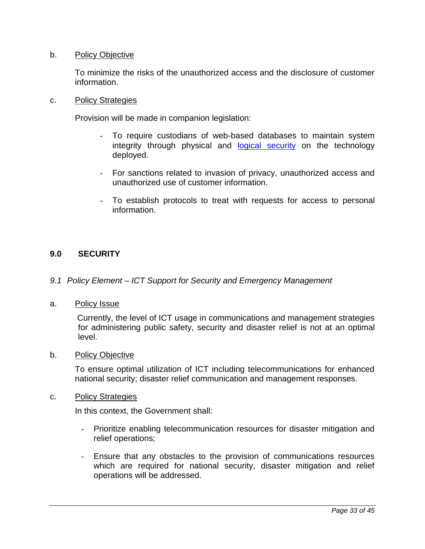#### <span id="page-39-0"></span>b. Policy Objective

To minimize the risks of the unauthorized access and the disclosure of customer information.

#### <span id="page-39-1"></span>c. Policy Strategies

Provision will be made in companion legislation:

- To require custodians of web-based databases to maintain system integrity through physical and [logical security](#page-48-3) on the technology deployed.
- For sanctions related to invasion of privacy, unauthorized access and unauthorized use of customer information.
- To establish protocols to treat with requests for access to personal information.

#### <span id="page-39-2"></span>**9.0 SECURITY**

#### <span id="page-39-3"></span>*9.1 Policy Element – ICT Support for Security and Emergency Management*

<span id="page-39-4"></span>a. Policy Issue

Currently, the level of ICT usage in communications and management strategies for administering public safety, security and disaster relief is not at an optimal level.

#### <span id="page-39-5"></span>b. Policy Objective

To ensure optimal utilization of ICT including telecommunications for enhanced national security; disaster relief communication and management responses.

<span id="page-39-6"></span>c. Policy Strategies

In this context, the Government shall:

- Prioritize enabling telecommunication resources for disaster mitigation and relief operations;
- Ensure that any obstacles to the provision of communications resources which are required for national security, disaster mitigation and relief operations will be addressed.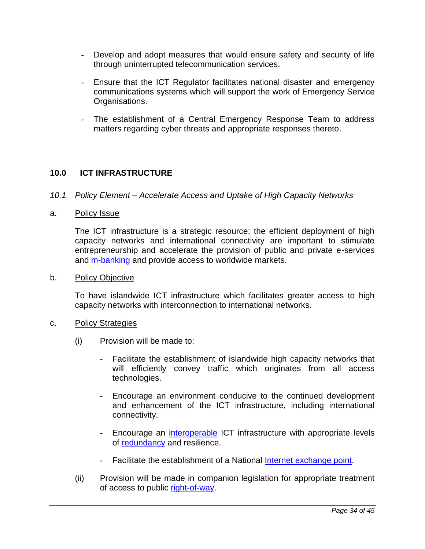- Develop and adopt measures that would ensure safety and security of life through uninterrupted telecommunication services.
- Ensure that the ICT Regulator facilitates national disaster and emergency communications systems which will support the work of Emergency Service Organisations.
- The establishment of a Central Emergency Response Team to address matters regarding cyber threats and appropriate responses thereto.

#### <span id="page-40-0"></span>**10.0 ICT INFRASTRUCTURE**

<span id="page-40-1"></span>*10.1 Policy Element – Accelerate Access and Uptake of High Capacity Networks*

#### <span id="page-40-2"></span>a. Policy Issue

The ICT infrastructure is a strategic resource; the efficient deployment of high capacity networks and international connectivity are important to stimulate entrepreneurship and accelerate the provision of public and private e-services and [m-banking](#page-48-4) and provide access to worldwide markets.

#### <span id="page-40-3"></span>b. Policy Objective

To have islandwide ICT infrastructure which facilitates greater access to high capacity networks with interconnection to international networks.

#### <span id="page-40-4"></span>c. Policy Strategies

- (i) Provision will be made to:
	- Facilitate the establishment of islandwide high capacity networks that will efficiently convey traffic which originates from all access technologies.
	- Encourage an environment conducive to the continued development and enhancement of the ICT infrastructure, including international connectivity.
	- Encourage an [interoperable](#page-48-5) ICT infrastructure with appropriate levels of [redundancy](#page-49-6) and resilience.
	- Facilitate the establishment of a National [Internet exchange point.](#page-48-6)
- (ii) Provision will be made in companion legislation for appropriate treatment of access to public [right-of-way.](#page-49-7)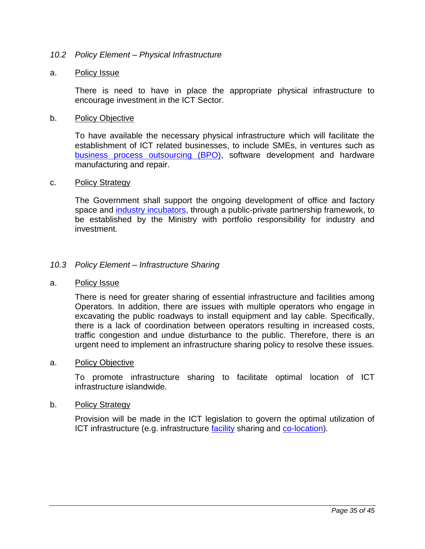#### <span id="page-41-0"></span>*10.2 Policy Element – Physical Infrastructure*

#### <span id="page-41-1"></span>a. Policy Issue

There is need to have in place the appropriate physical infrastructure to encourage investment in the ICT Sector.

#### <span id="page-41-2"></span>b. Policy Objective

To have available the necessary physical infrastructure which will facilitate the establishment of ICT related businesses, to include SMEs, in ventures such as [business process outsourcing \(BPO\),](#page-47-8) software development and hardware manufacturing and repair.

#### <span id="page-41-3"></span>c. Policy Strategy

The Government shall support the ongoing development of office and factory space and [industry incubators,](#page-48-7) through a public-private partnership framework, to be established by the Ministry with portfolio responsibility for industry and investment.

#### <span id="page-41-4"></span>*10.3 Policy Element – Infrastructure Sharing*

#### <span id="page-41-5"></span>a. Policy Issue

There is need for greater sharing of essential infrastructure and facilities among Operators. In addition, there are issues with multiple operators who engage in excavating the public roadways to install equipment and lay cable. Specifically, there is a lack of coordination between operators resulting in increased costs, traffic congestion and undue disturbance to the public. Therefore, there is an urgent need to implement an infrastructure sharing policy to resolve these issues.

#### <span id="page-41-6"></span>a. Policy Objective

To promote infrastructure sharing to facilitate optimal location of ICT infrastructure islandwide.

#### <span id="page-41-7"></span>b. Policy Strategy

Provision will be made in the ICT legislation to govern the optimal utilization of ICT infrastructure (e.g. infrastructure [facility](#page-48-8) sharing and [co-location\)](#page-47-9).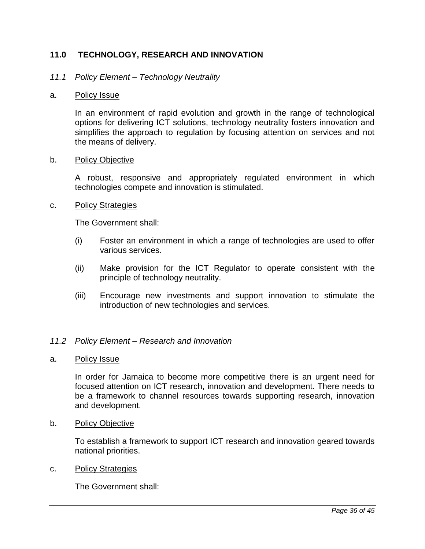#### <span id="page-42-0"></span>**11.0 TECHNOLOGY, RESEARCH AND INNOVATION**

#### <span id="page-42-1"></span>*11.1 Policy Element – Technology Neutrality*

#### <span id="page-42-2"></span>a. Policy Issue

In an environment of rapid evolution and growth in the range of technological options for delivering ICT solutions, technology neutrality fosters innovation and simplifies the approach to regulation by focusing attention on services and not the means of delivery.

#### <span id="page-42-3"></span>b. Policy Objective

A robust, responsive and appropriately regulated environment in which technologies compete and innovation is stimulated.

#### <span id="page-42-4"></span>c. Policy Strategies

The Government shall:

- (i) Foster an environment in which a range of technologies are used to offer various services.
- (ii) Make provision for the ICT Regulator to operate consistent with the principle of technology neutrality.
- (iii) Encourage new investments and support innovation to stimulate the introduction of new technologies and services.

#### <span id="page-42-5"></span>*11.2 Policy Element – Research and Innovation*

<span id="page-42-6"></span>a. Policy Issue

In order for Jamaica to become more competitive there is an urgent need for focused attention on ICT research, innovation and development. There needs to be a framework to channel resources towards supporting research, innovation and development.

<span id="page-42-7"></span>b. Policy Objective

To establish a framework to support ICT research and innovation geared towards national priorities.

#### <span id="page-42-8"></span>c. Policy Strategies

The Government shall: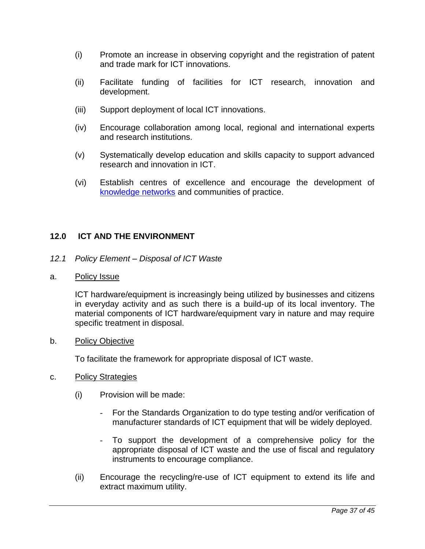- (i) Promote an increase in observing copyright and the registration of patent and trade mark for ICT innovations.
- (ii) Facilitate funding of facilities for ICT research, innovation and development.
- (iii) Support deployment of local ICT innovations.
- (iv) Encourage collaboration among local, regional and international experts and research institutions.
- (v) Systematically develop education and skills capacity to support advanced research and innovation in ICT.
- (vi) Establish centres of excellence and encourage the development of [knowledge networks](#page-48-9) and communities of practice.

#### <span id="page-43-0"></span>**12.0 ICT AND THE ENVIRONMENT**

- <span id="page-43-1"></span>*12.1 Policy Element – Disposal of ICT Waste*
- <span id="page-43-2"></span>a. Policy Issue

ICT hardware/equipment is increasingly being utilized by businesses and citizens in everyday activity and as such there is a build-up of its local inventory. The material components of ICT hardware/equipment vary in nature and may require specific treatment in disposal.

<span id="page-43-3"></span>b. Policy Objective

To facilitate the framework for appropriate disposal of ICT waste.

- <span id="page-43-4"></span>c. Policy Strategies
	- (i) Provision will be made:
		- For the Standards Organization to do type testing and/or verification of manufacturer standards of ICT equipment that will be widely deployed.
		- To support the development of a comprehensive policy for the appropriate disposal of ICT waste and the use of fiscal and regulatory instruments to encourage compliance.
	- (ii) Encourage the recycling/re-use of ICT equipment to extend its life and extract maximum utility.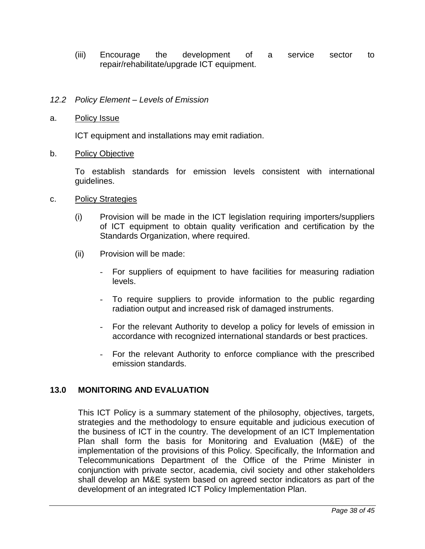(iii) Encourage the development of a service sector to repair/rehabilitate/upgrade ICT equipment.

#### <span id="page-44-0"></span>*12.2 Policy Element – Levels of Emission*

#### <span id="page-44-1"></span>a. Policy Issue

ICT equipment and installations may emit radiation.

<span id="page-44-2"></span>b. Policy Objective

To establish standards for emission levels consistent with international guidelines.

- <span id="page-44-3"></span>c. Policy Strategies
	- (i) Provision will be made in the ICT legislation requiring importers/suppliers of ICT equipment to obtain quality verification and certification by the Standards Organization, where required.
	- (ii) Provision will be made:
		- For suppliers of equipment to have facilities for measuring radiation levels.
		- To require suppliers to provide information to the public regarding radiation output and increased risk of damaged instruments.
		- For the relevant Authority to develop a policy for levels of emission in accordance with recognized international standards or best practices.
		- For the relevant Authority to enforce compliance with the prescribed emission standards.

#### <span id="page-44-4"></span>**13.0 MONITORING AND EVALUATION**

This ICT Policy is a summary statement of the philosophy, objectives, targets, strategies and the methodology to ensure equitable and judicious execution of the business of ICT in the country. The development of an ICT Implementation Plan shall form the basis for Monitoring and Evaluation (M&E) of the implementation of the provisions of this Policy. Specifically, the Information and Telecommunications Department of the Office of the Prime Minister in conjunction with private sector, academia, civil society and other stakeholders shall develop an M&E system based on agreed sector indicators as part of the development of an integrated ICT Policy Implementation Plan.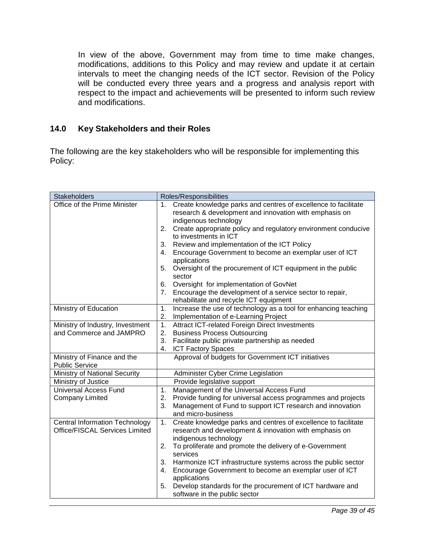In view of the above, Government may from time to time make changes, modifications, additions to this Policy and may review and update it at certain intervals to meet the changing needs of the ICT sector. Revision of the Policy will be conducted every three years and a progress and analysis report with respect to the impact and achievements will be presented to inform such review and modifications.

#### <span id="page-45-0"></span>**14.0 Key Stakeholders and their Roles**

The following are the key stakeholders who will be responsible for implementing this Policy:

| <b>Stakeholders</b>                                                            | Roles/Responsibilities                                                                                                                                                                                                                                                                                                                                                                                                                                                                                                                                                                                                                   |
|--------------------------------------------------------------------------------|------------------------------------------------------------------------------------------------------------------------------------------------------------------------------------------------------------------------------------------------------------------------------------------------------------------------------------------------------------------------------------------------------------------------------------------------------------------------------------------------------------------------------------------------------------------------------------------------------------------------------------------|
| Office of the Prime Minister                                                   | Create knowledge parks and centres of excellence to facilitate<br>1.<br>research & development and innovation with emphasis on<br>indigenous technology<br>Create appropriate policy and regulatory environment conducive<br>2.<br>to investments in ICT<br>3.<br>Review and implementation of the ICT Policy<br>Encourage Government to become an exemplar user of ICT<br>4.<br>applications<br>Oversight of the procurement of ICT equipment in the public<br>5.<br>sector<br>Oversight for implementation of GovNet<br>6.<br>Encourage the development of a service sector to repair,<br>7.<br>rehabilitate and recycle ICT equipment |
| Ministry of Education                                                          | Increase the use of technology as a tool for enhancing teaching<br>1.<br>2.<br>Implementation of e-Learning Project                                                                                                                                                                                                                                                                                                                                                                                                                                                                                                                      |
| Ministry of Industry, Investment<br>and Commerce and JAMPRO                    | Attract ICT-related Foreign Direct Investments<br>1.<br>2.<br><b>Business Process Outsourcing</b><br>Facilitate public private partnership as needed<br>3.<br><b>ICT Factory Spaces</b><br>4.                                                                                                                                                                                                                                                                                                                                                                                                                                            |
| Ministry of Finance and the<br><b>Public Service</b>                           | Approval of budgets for Government ICT initiatives                                                                                                                                                                                                                                                                                                                                                                                                                                                                                                                                                                                       |
| Ministry of National Security                                                  | Administer Cyber Crime Legislation                                                                                                                                                                                                                                                                                                                                                                                                                                                                                                                                                                                                       |
| Ministry of Justice                                                            | Provide legislative support                                                                                                                                                                                                                                                                                                                                                                                                                                                                                                                                                                                                              |
| <b>Universal Access Fund</b><br><b>Company Limited</b>                         | Management of the Universal Access Fund<br>1.<br>2.<br>Provide funding for universal access programmes and projects<br>3.<br>Management of Fund to support ICT research and innovation<br>and micro-business                                                                                                                                                                                                                                                                                                                                                                                                                             |
| <b>Central Information Technology</b><br><b>Office/FISCAL Services Limited</b> | Create knowledge parks and centres of excellence to facilitate<br>1.<br>research and development & innovation with emphasis on<br>indigenous technology<br>2.<br>To proliferate and promote the delivery of e-Government<br>services<br>3.<br>Harmonize ICT infrastructure systems across the public sector<br>Encourage Government to become an exemplar user of ICT<br>4.<br>applications<br>5.<br>Develop standards for the procurement of ICT hardware and<br>software in the public sector                                                                                                                                          |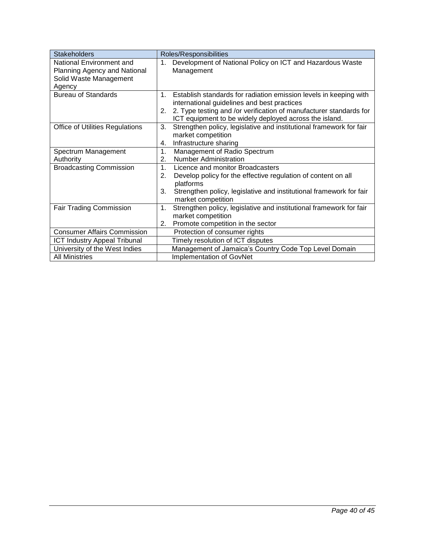| <b>Stakeholders</b>                                                                          | Roles/Responsibilities                                                                                                                                                                                                                                                   |  |  |  |
|----------------------------------------------------------------------------------------------|--------------------------------------------------------------------------------------------------------------------------------------------------------------------------------------------------------------------------------------------------------------------------|--|--|--|
| National Environment and<br>Planning Agency and National<br>Solid Waste Management<br>Agency | Development of National Policy on ICT and Hazardous Waste<br>1.<br>Management                                                                                                                                                                                            |  |  |  |
| <b>Bureau of Standards</b>                                                                   | 1 <sub>1</sub><br>Establish standards for radiation emission levels in keeping with<br>international guidelines and best practices<br>2. Type testing and /or verification of manufacturer standards for<br>2.<br>ICT equipment to be widely deployed across the island. |  |  |  |
| <b>Office of Utilities Regulations</b>                                                       | Strengthen policy, legislative and institutional framework for fair<br>3.<br>market competition<br>Infrastructure sharing<br>4.                                                                                                                                          |  |  |  |
| Spectrum Management<br>Authority                                                             | 1.<br>Management of Radio Spectrum<br><b>Number Administration</b><br>2.                                                                                                                                                                                                 |  |  |  |
| <b>Broadcasting Commission</b>                                                               | 1 <sub>1</sub><br>Licence and monitor Broadcasters<br>Develop policy for the effective regulation of content on all<br>2.<br>platforms<br>Strengthen policy, legislative and institutional framework for fair<br>3.<br>market competition                                |  |  |  |
| <b>Fair Trading Commission</b>                                                               | Strengthen policy, legislative and institutional framework for fair<br>1.<br>market competition<br>Promote competition in the sector<br>2.                                                                                                                               |  |  |  |
| <b>Consumer Affairs Commission</b>                                                           | Protection of consumer rights                                                                                                                                                                                                                                            |  |  |  |
| <b>ICT Industry Appeal Tribunal</b>                                                          | Timely resolution of ICT disputes                                                                                                                                                                                                                                        |  |  |  |
| University of the West Indies                                                                | Management of Jamaica's Country Code Top Level Domain                                                                                                                                                                                                                    |  |  |  |
| <b>All Ministries</b>                                                                        | Implementation of GovNet                                                                                                                                                                                                                                                 |  |  |  |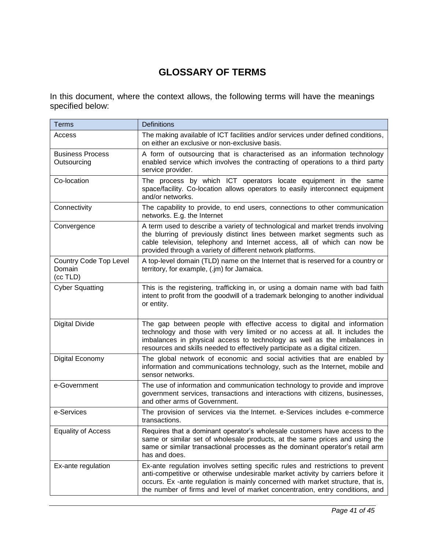### **GLOSSARY OF TERMS**

<span id="page-47-0"></span>In this document, where the context allows, the following terms will have the meanings specified below:

<span id="page-47-9"></span><span id="page-47-8"></span><span id="page-47-7"></span><span id="page-47-6"></span><span id="page-47-5"></span><span id="page-47-4"></span><span id="page-47-3"></span><span id="page-47-2"></span><span id="page-47-1"></span>

| <b>Terms</b>                                 | <b>Definitions</b>                                                                                                                                                                                                                                                                                                                  |  |  |  |  |
|----------------------------------------------|-------------------------------------------------------------------------------------------------------------------------------------------------------------------------------------------------------------------------------------------------------------------------------------------------------------------------------------|--|--|--|--|
| Access                                       | The making available of ICT facilities and/or services under defined conditions,<br>on either an exclusive or non-exclusive basis.                                                                                                                                                                                                  |  |  |  |  |
| <b>Business Process</b><br>Outsourcing       | A form of outsourcing that is characterised as an information technology<br>enabled service which involves the contracting of operations to a third party<br>service provider.                                                                                                                                                      |  |  |  |  |
| Co-location                                  | The process by which ICT operators locate equipment in the same<br>space/facility. Co-location allows operators to easily interconnect equipment<br>and/or networks.                                                                                                                                                                |  |  |  |  |
| Connectivity                                 | The capability to provide, to end users, connections to other communication<br>networks. E.g. the Internet                                                                                                                                                                                                                          |  |  |  |  |
| Convergence                                  | A term used to describe a variety of technological and market trends involving<br>the blurring of previously distinct lines between market segments such as<br>cable television, telephony and Internet access, all of which can now be<br>provided through a variety of different network platforms.                               |  |  |  |  |
| Country Code Top Level<br>Domain<br>(cc TLD) | A top-level domain (TLD) name on the Internet that is reserved for a country or<br>territory, for example, (.jm) for Jamaica.                                                                                                                                                                                                       |  |  |  |  |
| <b>Cyber Squatting</b>                       | This is the registering, trafficking in, or using a domain name with bad faith<br>intent to profit from the goodwill of a trademark belonging to another individual<br>or entity.                                                                                                                                                   |  |  |  |  |
| <b>Digital Divide</b>                        | The gap between people with effective access to digital and information<br>technology and those with very limited or no access at all. It includes the<br>imbalances in physical access to technology as well as the imbalances in<br>resources and skills needed to effectively participate as a digital citizen.                  |  |  |  |  |
| Digital Economy                              | The global network of economic and social activities that are enabled by<br>information and communications technology, such as the Internet, mobile and<br>sensor networks.                                                                                                                                                         |  |  |  |  |
| e-Government                                 | The use of information and communication technology to provide and improve<br>government services, transactions and interactions with citizens, businesses,<br>and other arms of Government.                                                                                                                                        |  |  |  |  |
| e-Services                                   | The provision of services via the Internet. e-Services includes e-commerce<br>transactions.                                                                                                                                                                                                                                         |  |  |  |  |
| <b>Equality of Access</b>                    | Requires that a dominant operator's wholesale customers have access to the<br>same or similar set of wholesale products, at the same prices and using the<br>same or similar transactional processes as the dominant operator's retail arm<br>has and does.                                                                         |  |  |  |  |
| Ex-ante regulation                           | Ex-ante regulation involves setting specific rules and restrictions to prevent<br>anti-competitive or otherwise undesirable market activity by carriers before it<br>occurs. Ex-ante regulation is mainly concerned with market structure, that is,<br>the number of firms and level of market concentration, entry conditions, and |  |  |  |  |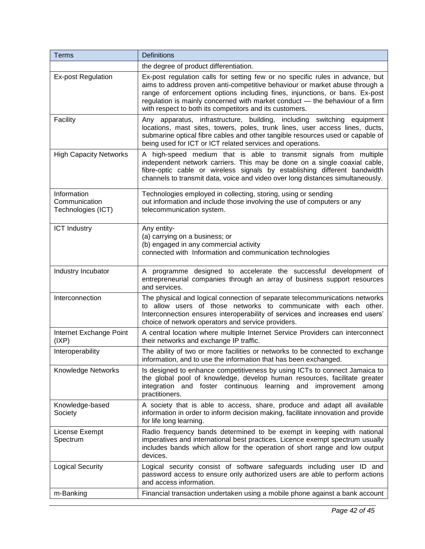<span id="page-48-9"></span><span id="page-48-8"></span><span id="page-48-7"></span><span id="page-48-6"></span><span id="page-48-5"></span><span id="page-48-4"></span><span id="page-48-3"></span><span id="page-48-2"></span><span id="page-48-1"></span><span id="page-48-0"></span>

| <b>Terms</b>                                       | <b>Definitions</b>                                                                                                                                                                                                                                                                                                                                                                     |  |  |  |  |  |
|----------------------------------------------------|----------------------------------------------------------------------------------------------------------------------------------------------------------------------------------------------------------------------------------------------------------------------------------------------------------------------------------------------------------------------------------------|--|--|--|--|--|
|                                                    | the degree of product differentiation.                                                                                                                                                                                                                                                                                                                                                 |  |  |  |  |  |
| <b>Ex-post Regulation</b>                          | Ex-post regulation calls for setting few or no specific rules in advance, but<br>aims to address proven anti-competitive behaviour or market abuse through a<br>range of enforcement options including fines, injunctions, or bans. Ex-post<br>regulation is mainly concerned with market conduct - the behaviour of a firm<br>with respect to both its competitors and its customers. |  |  |  |  |  |
| Facility                                           | Any apparatus, infrastructure, building, including<br>switching<br>equipment<br>locations, mast sites, towers, poles, trunk lines, user access lines, ducts,<br>submarine optical fibre cables and other tangible resources used or capable of<br>being used for ICT or ICT related services and operations.                                                                           |  |  |  |  |  |
| <b>High Capacity Networks</b>                      | A high-speed medium that is able to transmit signals from multiple<br>independent network carriers. This may be done on a single coaxial cable,<br>fibre-optic cable or wireless signals by establishing different bandwidth<br>channels to transmit data, voice and video over long distances simultaneously.                                                                         |  |  |  |  |  |
| Information<br>Communication<br>Technologies (ICT) | Technologies employed in collecting, storing, using or sending<br>out information and include those involving the use of computers or any<br>telecommunication system.                                                                                                                                                                                                                 |  |  |  |  |  |
| <b>ICT Industry</b>                                | Any entity-<br>(a) carrying on a business; or<br>(b) engaged in any commercial activity<br>connected with Information and communication technologies                                                                                                                                                                                                                                   |  |  |  |  |  |
| Industry Incubator                                 | A programme designed to accelerate the successful development of<br>entrepreneurial companies through an array of business support resources<br>and services.                                                                                                                                                                                                                          |  |  |  |  |  |
| Interconnection                                    | The physical and logical connection of separate telecommunications networks<br>to allow users of those networks to communicate with each other.<br>Interconnection ensures interoperability of services and increases end users'<br>choice of network operators and service providers.                                                                                                 |  |  |  |  |  |
| Internet Exchange Point<br>(IXP)                   | A central location where multiple Internet Service Providers can interconnect<br>their networks and exchange IP traffic.                                                                                                                                                                                                                                                               |  |  |  |  |  |
| Interoperability                                   | The ability of two or more facilities or networks to be connected to exchange<br>information, and to use the information that has been exchanged.                                                                                                                                                                                                                                      |  |  |  |  |  |
| <b>Knowledge Networks</b>                          | Is designed to enhance competitiveness by using ICTs to connect Jamaica to<br>the global pool of knowledge, develop human resources, facilitate greater<br>integration and foster continuous learning and improvement among<br>practitioners.                                                                                                                                          |  |  |  |  |  |
| Knowledge-based<br>Society                         | A society that is able to access, share, produce and adapt all available<br>information in order to inform decision making, facilitate innovation and provide<br>for life long learning.                                                                                                                                                                                               |  |  |  |  |  |
| License Exempt<br>Spectrum                         | Radio frequency bands determined to be exempt in keeping with national<br>imperatives and international best practices. Licence exempt spectrum usually<br>includes bands which allow for the operation of short range and low output<br>devices.                                                                                                                                      |  |  |  |  |  |
| <b>Logical Security</b>                            | Logical security consist of software safeguards including user ID and<br>password access to ensure only authorized users are able to perform actions<br>and access information.                                                                                                                                                                                                        |  |  |  |  |  |
| m-Banking                                          | Financial transaction undertaken using a mobile phone against a bank account                                                                                                                                                                                                                                                                                                           |  |  |  |  |  |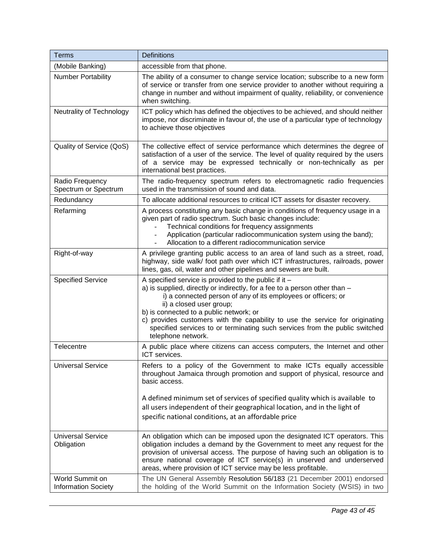<span id="page-49-7"></span><span id="page-49-6"></span><span id="page-49-5"></span><span id="page-49-4"></span><span id="page-49-3"></span><span id="page-49-2"></span><span id="page-49-1"></span><span id="page-49-0"></span>

| <b>Terms</b>                                  | <b>Definitions</b>                                                                                                                                                                                                                                                                                                                                                                                                                                               |  |  |  |  |  |
|-----------------------------------------------|------------------------------------------------------------------------------------------------------------------------------------------------------------------------------------------------------------------------------------------------------------------------------------------------------------------------------------------------------------------------------------------------------------------------------------------------------------------|--|--|--|--|--|
| (Mobile Banking)                              | accessible from that phone.                                                                                                                                                                                                                                                                                                                                                                                                                                      |  |  |  |  |  |
| <b>Number Portability</b>                     | The ability of a consumer to change service location; subscribe to a new form<br>of service or transfer from one service provider to another without requiring a<br>change in number and without impairment of quality, reliability, or convenience<br>when switching.                                                                                                                                                                                           |  |  |  |  |  |
| Neutrality of Technology                      | ICT policy which has defined the objectives to be achieved, and should neither<br>impose, nor discriminate in favour of, the use of a particular type of technology<br>to achieve those objectives                                                                                                                                                                                                                                                               |  |  |  |  |  |
| Quality of Service (QoS)                      | The collective effect of service performance which determines the degree of<br>satisfaction of a user of the service. The level of quality required by the users<br>of a service may be expressed technically or non-technically as per<br>international best practices.                                                                                                                                                                                         |  |  |  |  |  |
| Radio Frequency<br>Spectrum or Spectrum       | The radio-frequency spectrum refers to electromagnetic radio frequencies<br>used in the transmission of sound and data.                                                                                                                                                                                                                                                                                                                                          |  |  |  |  |  |
| Redundancy                                    | To allocate additional resources to critical ICT assets for disaster recovery.                                                                                                                                                                                                                                                                                                                                                                                   |  |  |  |  |  |
| Refarming                                     | A process constituting any basic change in conditions of frequency usage in a<br>given part of radio spectrum. Such basic changes include:<br>Technical conditions for frequency assignments<br>Application (particular radiocommunication system using the band);<br>Allocation to a different radiocommunication service                                                                                                                                       |  |  |  |  |  |
| Right-of-way                                  | A privilege granting public access to an area of land such as a street, road,<br>highway, side walk/ foot path over which ICT infrastructures, railroads, power<br>lines, gas, oil, water and other pipelines and sewers are built.                                                                                                                                                                                                                              |  |  |  |  |  |
| <b>Specified Service</b>                      | A specified service is provided to the public if it -<br>a) is supplied, directly or indirectly, for a fee to a person other than -<br>i) a connected person of any of its employees or officers; or<br>ii) a closed user group;<br>b) is connected to a public network; or<br>c) provides customers with the capability to use the service for originating<br>specified services to or terminating such services from the public switched<br>telephone network. |  |  |  |  |  |
| Telecentre                                    | A public place where citizens can access computers, the Internet and other<br>ICT services.                                                                                                                                                                                                                                                                                                                                                                      |  |  |  |  |  |
| <b>Universal Service</b>                      | Refers to a policy of the Government to make ICTs equally accessible<br>throughout Jamaica through promotion and support of physical, resource and<br>basic access.                                                                                                                                                                                                                                                                                              |  |  |  |  |  |
|                                               | A defined minimum set of services of specified quality which is available to<br>all users independent of their geographical location, and in the light of<br>specific national conditions, at an affordable price                                                                                                                                                                                                                                                |  |  |  |  |  |
| <b>Universal Service</b><br>Obligation        | An obligation which can be imposed upon the designated ICT operators. This<br>obligation includes a demand by the Government to meet any request for the<br>provision of universal access. The purpose of having such an obligation is to<br>ensure national coverage of ICT service(s) in unserved and underserved<br>areas, where provision of ICT service may be less profitable.                                                                             |  |  |  |  |  |
| World Summit on<br><b>Information Society</b> | The UN General Assembly Resolution 56/183 (21 December 2001) endorsed<br>the holding of the World Summit on the Information Society (WSIS) in two                                                                                                                                                                                                                                                                                                                |  |  |  |  |  |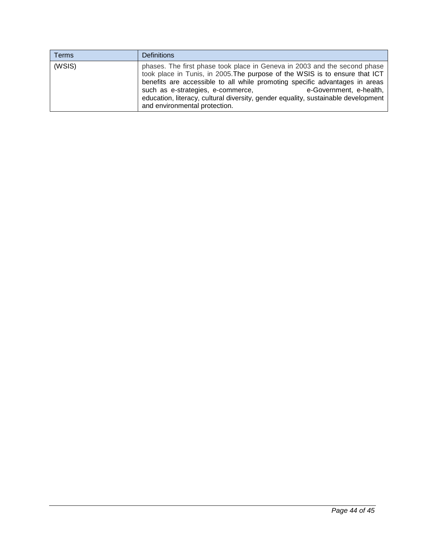| Terms  | <b>Definitions</b>                                                                                                                                                                                                                                                                                                                                                                                                            |
|--------|-------------------------------------------------------------------------------------------------------------------------------------------------------------------------------------------------------------------------------------------------------------------------------------------------------------------------------------------------------------------------------------------------------------------------------|
| (WSIS) | phases. The first phase took place in Geneva in 2003 and the second phase<br>took place in Tunis, in 2005. The purpose of the WSIS is to ensure that ICT<br>benefits are accessible to all while promoting specific advantages in areas<br>such as e-strategies, e-commerce,<br>e-Government, e-health,<br>education, literacy, cultural diversity, gender equality, sustainable development<br>and environmental protection. |